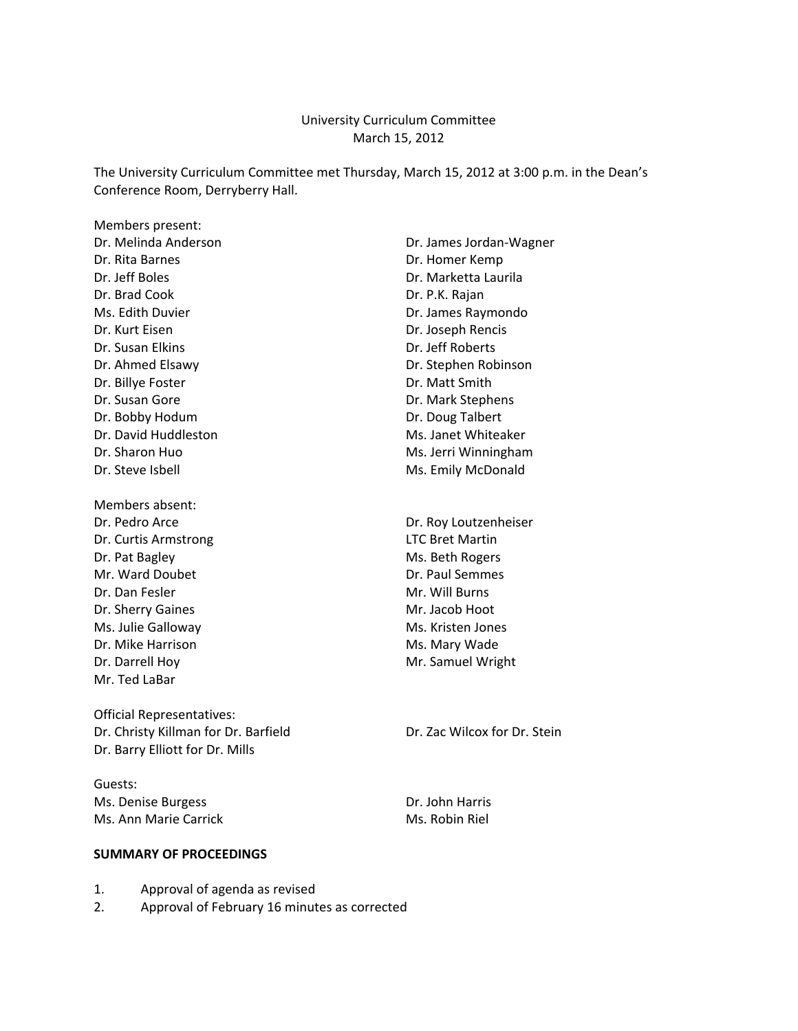### University Curriculum Committee March 15, 2012

The University Curriculum Committee met Thursday, March 15, 2012 at 3:00 p.m. in the Dean's Conference Room, Derryberry Hall.

Members present: Dr. Melinda Anderson **Dr. James Jordan**-Wagner Dr. Rita Barnes **Dr. Homer Kemp** Dr. Jeff Boles **Dr. Marketta Laurila** Dr. Brad Cook Dr. P.K. Rajan Ms. Edith Duvier **Dr. James Raymondo** Dr. Kurt Eisen Dr. Joseph Rencis Dr. Susan Elkins Dr. Jeff Roberts Dr. Billye Foster **Dr. Matt Smith** Dr. Susan Gore **Dr. Mark Stephens** Dr. Bobby Hodum Dr. Doug Talbert Dr. David Huddleston Ms. Janet Whiteaker Dr. Steve Isbell **Dr. Steve Isbell** Ms. Emily McDonald

Members absent: Dr. Curtis Armstrong **LTC** Bret Martin Dr. Pat Bagley Ms. Beth Rogers Mr. Ward Doubet **Dr. Paul Semmes** Dr. Dan Fesler Mr. Will Burns Dr. Sherry Gaines Mr. Jacob Hoot Ms. Julie Galloway Ms. Kristen Jones Dr. Mike Harrison **Ms. Mary Wade** Dr. Darrell Hoy **Mr. Samuel Wright** Mr. Samuel Wright Mr. Ted LaBar

Official Representatives: Dr. Christy Killman for Dr. Barfield Dr. Zac Wilcox for Dr. Stein Dr. Barry Elliott for Dr. Mills

Guests: Ms. Denise Burgess **Dr. John Harris** Dr. John Harris Ms. Ann Marie Carrick Ms. Robin Riel

**SUMMARY OF PROCEEDINGS**

Dr. Ahmed Elsawy Dr. Stephen Robinson Dr. Sharon Huo **Ms. Jerri Winningham** 

Dr. Pedro Arce **Dr. Roy Loutzenheiser** 

- 1. Approval of agenda as revised
- 2. Approval of February 16 minutes as corrected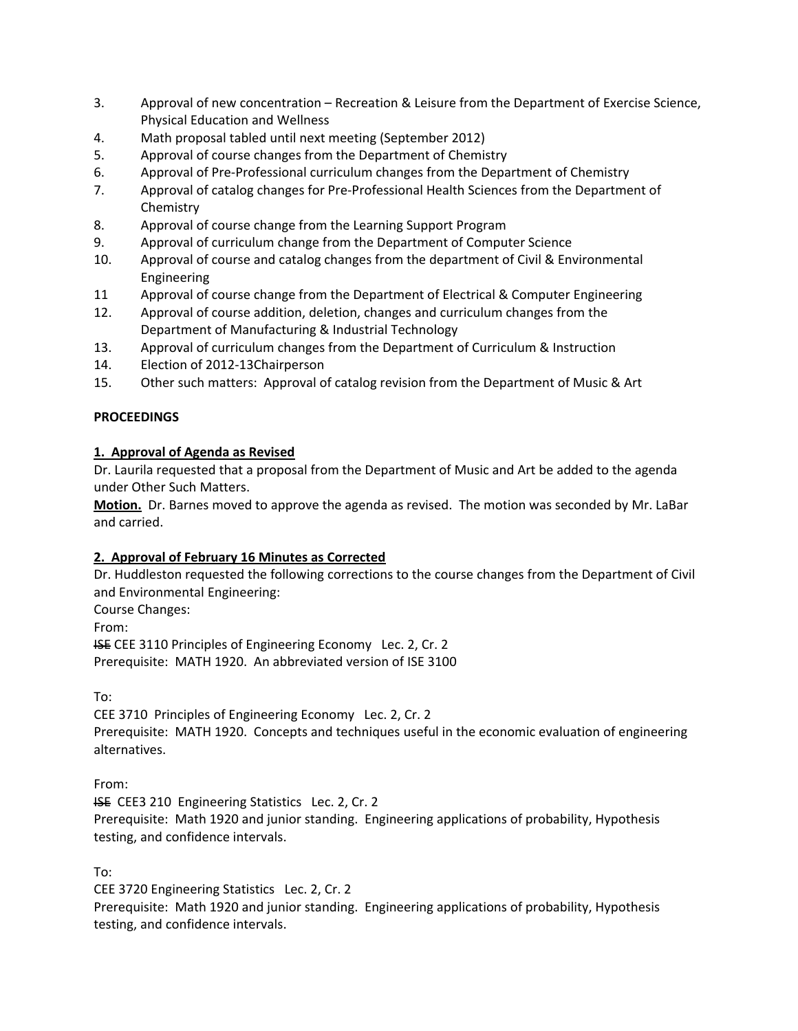- 3. Approval of new concentration Recreation & Leisure from the Department of Exercise Science, Physical Education and Wellness
- 4. Math proposal tabled until next meeting (September 2012)
- 5. Approval of course changes from the Department of Chemistry
- 6. Approval of Pre‐Professional curriculum changes from the Department of Chemistry
- 7. Approval of catalog changes for Pre‐Professional Health Sciences from the Department of Chemistry
- 8. Approval of course change from the Learning Support Program
- 9. Approval of curriculum change from the Department of Computer Science
- 10. Approval of course and catalog changes from the department of Civil & Environmental Engineering
- 11 Approval of course change from the Department of Electrical & Computer Engineering
- 12. Approval of course addition, deletion, changes and curriculum changes from the Department of Manufacturing & Industrial Technology
- 13. Approval of curriculum changes from the Department of Curriculum & Instruction
- 14. Election of 2012‐13Chairperson
- 15. Other such matters: Approval of catalog revision from the Department of Music & Art

### **PROCEEDINGS**

### **1. Approval of Agenda as Revised**

Dr. Laurila requested that a proposal from the Department of Music and Art be added to the agenda under Other Such Matters.

**Motion.** Dr. Barnes moved to approve the agenda as revised. The motion was seconded by Mr. LaBar and carried.

### **2. Approval of February 16 Minutes as Corrected**

Dr. Huddleston requested the following corrections to the course changes from the Department of Civil and Environmental Engineering:

Course Changes:

From:

ISE CEE 3110 Principles of Engineering Economy Lec. 2, Cr. 2 Prerequisite: MATH 1920. An abbreviated version of ISE 3100

To:

CEE 3710 Principles of Engineering Economy Lec. 2, Cr. 2

Prerequisite: MATH 1920. Concepts and techniques useful in the economic evaluation of engineering alternatives.

From:

ISE CEE3 210 Engineering Statistics Lec. 2, Cr. 2

Prerequisite: Math 1920 and junior standing. Engineering applications of probability, Hypothesis testing, and confidence intervals.

To:

CEE 3720 Engineering Statistics Lec. 2, Cr. 2

Prerequisite: Math 1920 and junior standing. Engineering applications of probability, Hypothesis testing, and confidence intervals.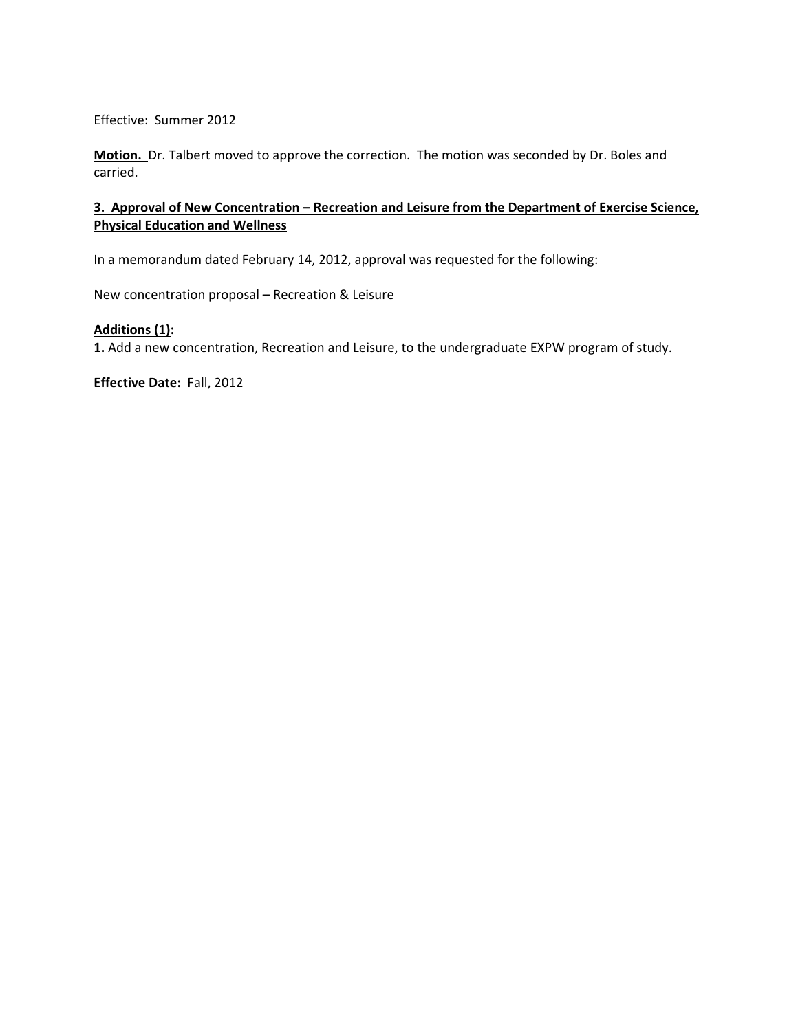Effective: Summer 2012

**Motion.** Dr. Talbert moved to approve the correction. The motion was seconded by Dr. Boles and carried.

### **3. Approval of New Concentration – Recreation and Leisure from the Department of Exercise Science, Physical Education and Wellness**

In a memorandum dated February 14, 2012, approval was requested for the following:

New concentration proposal – Recreation & Leisure

### **Additions (1):**

**1.** Add a new concentration, Recreation and Leisure, to the undergraduate EXPW program of study.

**Effective Date:** Fall, 2012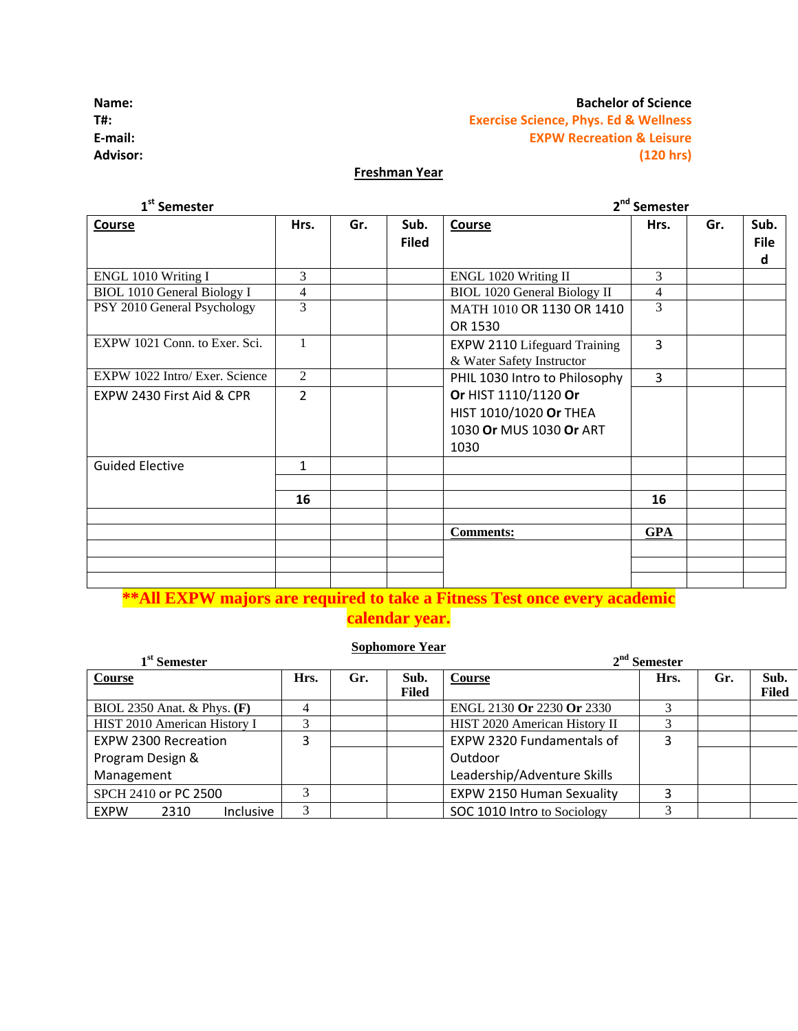### **Name:**<br> **Bachelor** of Science

## **T#: Exercise Science, Phys. Ed & Wellness E‐mail: EXPW Recreation & Leisure Advisor: (120 hrs)**

## **Freshman Year**

| $1st$ Semester                     |                |     |                      | 2 <sup>nd</sup> Semester                                                          |            |     |                          |  |  |
|------------------------------------|----------------|-----|----------------------|-----------------------------------------------------------------------------------|------------|-----|--------------------------|--|--|
| <b>Course</b>                      | Hrs.           | Gr. | Sub.<br><b>Filed</b> | <b>Course</b>                                                                     | Hrs.       | Gr. | Sub.<br><b>File</b><br>d |  |  |
| ENGL 1010 Writing I                | 3              |     |                      | ENGL 1020 Writing II                                                              | 3          |     |                          |  |  |
| <b>BIOL 1010 General Biology I</b> | $\overline{4}$ |     |                      | <b>BIOL 1020 General Biology II</b>                                               | 4          |     |                          |  |  |
| PSY 2010 General Psychology        | 3              |     |                      | MATH 1010 OR 1130 OR 1410<br>OR 1530                                              | 3          |     |                          |  |  |
| EXPW 1021 Conn. to Exer. Sci.      | 1              |     |                      | <b>EXPW 2110 Lifeguard Training</b><br>& Water Safety Instructor                  | 3          |     |                          |  |  |
| EXPW 1022 Intro/ Exer. Science     | 2              |     |                      | PHIL 1030 Intro to Philosophy                                                     | 3          |     |                          |  |  |
| EXPW 2430 First Aid & CPR          | $\overline{2}$ |     |                      | Or HIST 1110/1120 Or<br>HIST 1010/1020 Or THEA<br>1030 Or MUS 1030 Or ART<br>1030 |            |     |                          |  |  |
| <b>Guided Elective</b>             | $\mathbf{1}$   |     |                      |                                                                                   |            |     |                          |  |  |
|                                    | 16             |     |                      |                                                                                   | 16         |     |                          |  |  |
|                                    |                |     |                      | <b>Comments:</b>                                                                  | <b>GPA</b> |     |                          |  |  |
|                                    |                |     |                      |                                                                                   |            |     |                          |  |  |

## **\*\*All EXPW majors are required to take a Fitness Test once every academic calendar year.**

### **Sophomore Year**

| 1 <sup>st</sup> Semester                |      |     |       | $2nd$ Semester                   |      |     |              |  |
|-----------------------------------------|------|-----|-------|----------------------------------|------|-----|--------------|--|
| Course                                  | Hrs. | Gr. | Sub.  | <b>Course</b>                    | Hrs. | Gr. | Sub.         |  |
|                                         |      |     | Filed |                                  |      |     | <b>Filed</b> |  |
| BIOL 2350 Anat. & Phys. $(F)$           |      |     |       | ENGL 2130 Or 2230 Or 2330        |      |     |              |  |
| HIST 2010 American History I            | 3    |     |       | HIST 2020 American History II    |      |     |              |  |
| EXPW 2300 Recreation                    | Э    |     |       | <b>EXPW 2320 Fundamentals of</b> | 3    |     |              |  |
| Program Design &                        |      |     |       | Outdoor                          |      |     |              |  |
| Management                              |      |     |       | Leadership/Adventure Skills      |      |     |              |  |
| SPCH 2410 or PC 2500                    | 3    |     |       | <b>EXPW 2150 Human Sexuality</b> | э    |     |              |  |
| <b>Inclusive</b><br><b>EXPW</b><br>2310 | 3    |     |       | SOC 1010 Intro to Sociology      | 2    |     |              |  |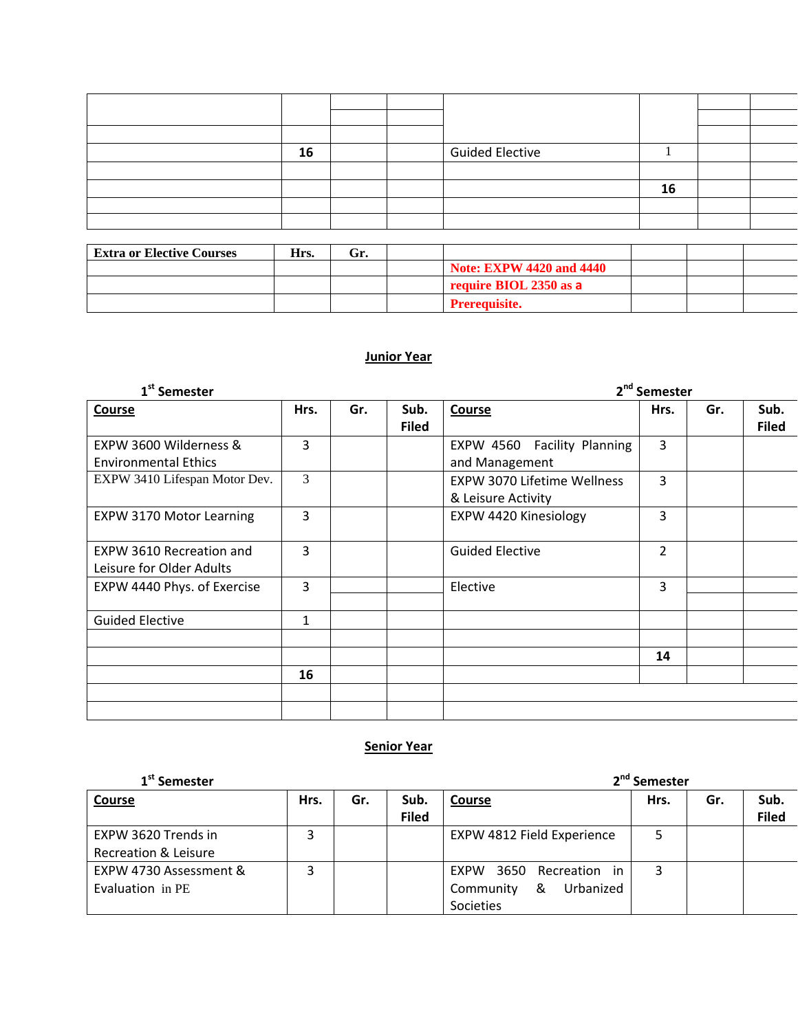|  | 16 |  | <b>Guided Elective</b> |    |  |
|--|----|--|------------------------|----|--|
|  |    |  |                        |    |  |
|  |    |  |                        | 16 |  |
|  |    |  |                        |    |  |
|  |    |  |                        |    |  |

| <b>Extra or Elective Courses</b> | Hrs. | Gr. |                                 |  |  |
|----------------------------------|------|-----|---------------------------------|--|--|
|                                  |      |     | <b>Note: EXPW 4420 and 4440</b> |  |  |
|                                  |      |     | require BIOL 2350 as a          |  |  |
|                                  |      |     | <b>Prerequisite.</b>            |  |  |

## **Junior Year**

| 1 <sup>st</sup> Semester                              | 2 <sup>nd</sup> Semester |     |                      |                                                          |      |     |                      |
|-------------------------------------------------------|--------------------------|-----|----------------------|----------------------------------------------------------|------|-----|----------------------|
| Course                                                | Hrs.                     | Gr. | Sub.<br><b>Filed</b> | <b>Course</b>                                            | Hrs. | Gr. | Sub.<br><b>Filed</b> |
| EXPW 3600 Wilderness &<br><b>Environmental Ethics</b> | 3                        |     |                      | EXPW 4560 Facility Planning<br>and Management            | 3    |     |                      |
| EXPW 3410 Lifespan Motor Dev.                         | 3                        |     |                      | <b>EXPW 3070 Lifetime Wellness</b><br>& Leisure Activity | 3    |     |                      |
| <b>EXPW 3170 Motor Learning</b>                       | 3                        |     |                      | EXPW 4420 Kinesiology                                    | 3    |     |                      |
| EXPW 3610 Recreation and<br>Leisure for Older Adults  | 3                        |     |                      | <b>Guided Elective</b>                                   | 2    |     |                      |
| EXPW 4440 Phys. of Exercise                           | 3                        |     |                      | Elective                                                 | 3    |     |                      |
| <b>Guided Elective</b>                                | $\mathbf{1}$             |     |                      |                                                          |      |     |                      |
|                                                       |                          |     |                      |                                                          | 14   |     |                      |
|                                                       | 16                       |     |                      |                                                          |      |     |                      |

## **Senior Year**

| 1 <sup>st</sup> Semester                    |      |     | 2 <sup>nd</sup> Semester |                                                                     |      |     |                      |  |
|---------------------------------------------|------|-----|--------------------------|---------------------------------------------------------------------|------|-----|----------------------|--|
| Course                                      | Hrs. | Gr. | Sub.<br><b>Filed</b>     | <b>Course</b>                                                       | Hrs. | Gr. | Sub.<br><b>Filed</b> |  |
| EXPW 3620 Trends in<br>Recreation & Leisure |      |     |                          | EXPW 4812 Field Experience                                          |      |     |                      |  |
| EXPW 4730 Assessment &<br>Evaluation in PE  |      |     |                          | EXPW 3650<br>Recreation in<br>Community &<br>Urbanized<br>Societies | 3    |     |                      |  |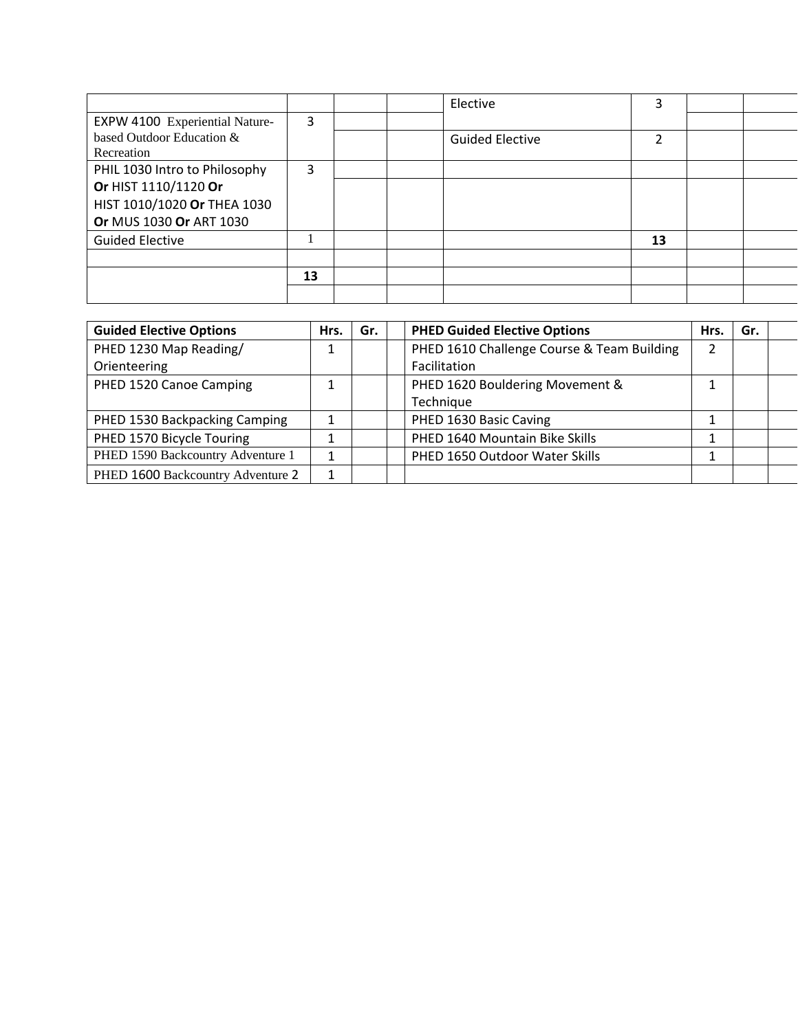|                                       |    |  | Elective               | 3  |  |
|---------------------------------------|----|--|------------------------|----|--|
| <b>EXPW 4100 Experiential Nature-</b> | 3  |  |                        |    |  |
| based Outdoor Education &             |    |  | <b>Guided Elective</b> | 2  |  |
| Recreation                            |    |  |                        |    |  |
| PHIL 1030 Intro to Philosophy         | 3  |  |                        |    |  |
| Or HIST 1110/1120 Or                  |    |  |                        |    |  |
| HIST 1010/1020 Or THEA 1030           |    |  |                        |    |  |
| Or MUS 1030 Or ART 1030               |    |  |                        |    |  |
| <b>Guided Elective</b>                |    |  |                        | 13 |  |
|                                       |    |  |                        |    |  |
|                                       | 13 |  |                        |    |  |
|                                       |    |  |                        |    |  |

| <b>Guided Elective Options</b>    | Hrs. | Gr. | <b>PHED Guided Elective Options</b>        | Hrs. | Gr. |  |
|-----------------------------------|------|-----|--------------------------------------------|------|-----|--|
| PHED 1230 Map Reading/            |      |     | PHED 1610 Challenge Course & Team Building | 2    |     |  |
| Orienteering                      |      |     | Facilitation                               |      |     |  |
| PHED 1520 Canoe Camping           |      |     | PHED 1620 Bouldering Movement &            |      |     |  |
|                                   |      |     | Technique                                  |      |     |  |
| PHED 1530 Backpacking Camping     |      |     | PHED 1630 Basic Caving                     |      |     |  |
| PHED 1570 Bicycle Touring         |      |     | PHED 1640 Mountain Bike Skills             |      |     |  |
| PHED 1590 Backcountry Adventure 1 |      |     | PHED 1650 Outdoor Water Skills             |      |     |  |
| PHED 1600 Backcountry Adventure 2 |      |     |                                            |      |     |  |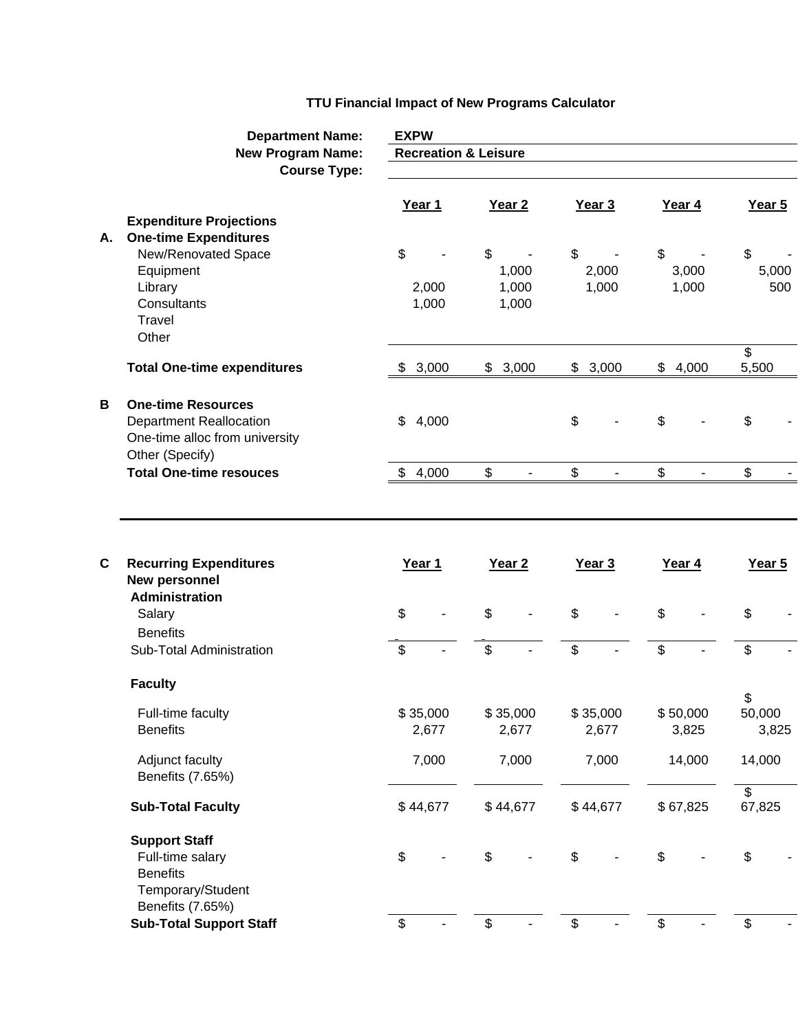## **TTU Financial Impact of New Programs Calculator**

|    | <b>Department Name:</b>                         | <b>EXPW</b><br><b>Recreation &amp; Leisure</b> |          |                   |          |    |          |    |          |                          |        |  |
|----|-------------------------------------------------|------------------------------------------------|----------|-------------------|----------|----|----------|----|----------|--------------------------|--------|--|
|    | <b>New Program Name:</b><br><b>Course Type:</b> |                                                |          |                   |          |    |          |    |          |                          |        |  |
|    |                                                 |                                                |          |                   |          |    |          |    |          |                          |        |  |
|    |                                                 |                                                | Year 1   | Year <sub>2</sub> |          |    | Year 3   |    | Year 4   |                          | Year 5 |  |
|    | <b>Expenditure Projections</b>                  |                                                |          |                   |          |    |          |    |          |                          |        |  |
| А. | <b>One-time Expenditures</b>                    |                                                |          | \$                |          |    |          |    |          |                          |        |  |
|    | New/Renovated Space<br>Equipment                | \$                                             |          |                   | 1,000    | \$ | 2,000    | \$ | 3,000    | \$                       | 5,000  |  |
|    | Library                                         |                                                | 2,000    |                   | 1,000    |    | 1,000    |    | 1,000    |                          | 500    |  |
|    | Consultants                                     |                                                | 1,000    |                   | 1,000    |    |          |    |          |                          |        |  |
|    | Travel                                          |                                                |          |                   |          |    |          |    |          |                          |        |  |
|    | Other                                           |                                                |          |                   |          |    |          |    |          |                          |        |  |
|    | <b>Total One-time expenditures</b>              | \$                                             | 3,000    | \$                | 3,000    | \$ | 3,000    | \$ | 4,000    | \$<br>5,500              |        |  |
|    |                                                 |                                                |          |                   |          |    |          |    |          |                          |        |  |
| B  | <b>One-time Resources</b>                       |                                                |          |                   |          |    |          |    |          |                          |        |  |
|    | <b>Department Reallocation</b>                  | \$                                             | 4,000    |                   |          | \$ |          | \$ |          | \$                       |        |  |
|    | One-time alloc from university                  |                                                |          |                   |          |    |          |    |          |                          |        |  |
|    | Other (Specify)                                 |                                                |          |                   |          |    |          |    |          |                          |        |  |
|    | <b>Total One-time resouces</b>                  | \$                                             | 4,000    | \$                |          | \$ |          | \$ |          | \$                       |        |  |
|    |                                                 |                                                |          |                   |          |    |          |    |          |                          |        |  |
|    |                                                 |                                                |          |                   |          |    |          |    |          |                          |        |  |
|    |                                                 |                                                |          |                   |          |    |          |    |          |                          |        |  |
| C  | <b>Recurring Expenditures</b>                   |                                                | Year 1   | Year <sub>2</sub> |          |    | Year 3   |    | Year 4   |                          | Year 5 |  |
|    | New personnel<br><b>Administration</b>          |                                                |          |                   |          |    |          |    |          |                          |        |  |
|    | Salary                                          | \$                                             |          | \$                |          | \$ |          | \$ |          | \$                       |        |  |
|    | <b>Benefits</b>                                 |                                                |          |                   |          |    |          |    |          |                          |        |  |
|    | Sub-Total Administration                        | \$                                             |          | \$                |          | \$ |          | \$ |          | \$                       |        |  |
|    |                                                 |                                                |          |                   |          |    |          |    |          |                          |        |  |
|    | <b>Faculty</b>                                  |                                                |          |                   |          |    |          |    |          | \$                       |        |  |
|    | Full-time faculty                               |                                                | \$35,000 |                   | \$35,000 |    | \$35,000 |    | \$50,000 | 50,000                   |        |  |
|    | <b>Benefits</b>                                 |                                                | 2,677    |                   | 2,677    |    | 2,677    |    | 3,825    |                          | 3,825  |  |
|    |                                                 |                                                |          |                   | 7,000    |    | 7,000    |    | 14,000   | 14,000                   |        |  |
|    | Adjunct faculty<br>Benefits (7.65%)             |                                                | 7,000    |                   |          |    |          |    |          |                          |        |  |
|    |                                                 |                                                |          |                   |          |    |          |    |          | $\overline{\mathcal{E}}$ |        |  |
|    | <b>Sub-Total Faculty</b>                        |                                                | \$44,677 |                   | \$44,677 |    | \$44,677 |    | \$67,825 | 67,825                   |        |  |
|    | <b>Support Staff</b>                            |                                                |          |                   |          |    |          |    |          |                          |        |  |
|    | Full-time salary                                | \$                                             |          | \$                |          | \$ |          | \$ |          | \$                       |        |  |
|    | <b>Benefits</b>                                 |                                                |          |                   |          |    |          |    |          |                          |        |  |
|    | Temporary/Student                               |                                                |          |                   |          |    |          |    |          |                          |        |  |
|    | Benefits (7.65%)                                |                                                |          |                   |          |    |          |    |          |                          |        |  |
|    | <b>Sub-Total Support Staff</b>                  | \$                                             |          | \$                |          | \$ |          | \$ |          | \$                       |        |  |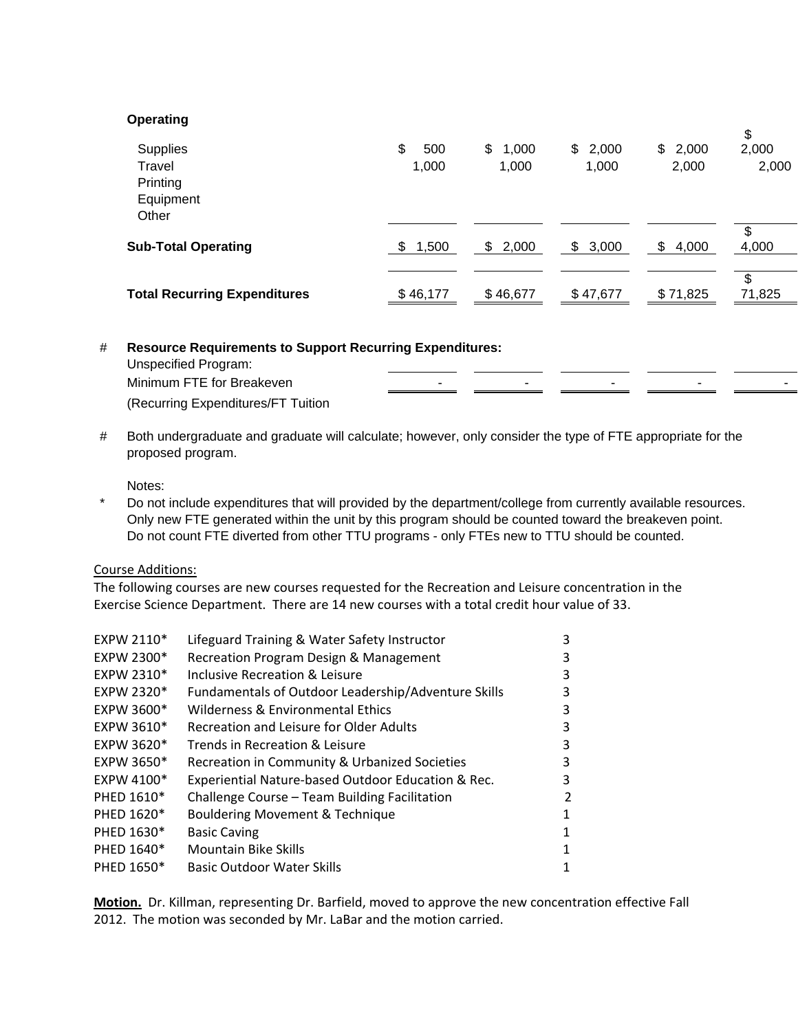### **Operating**

|                                     |              |             |             |             | \$     |
|-------------------------------------|--------------|-------------|-------------|-------------|--------|
| Supplies                            | \$<br>500    | \$<br>1,000 | \$2,000     | \$2,000     | 2,000  |
| Travel                              | 1,000        | 1,000       | 1,000       | 2,000       | 2,000  |
| Printing                            |              |             |             |             |        |
| Equipment                           |              |             |             |             |        |
| Other                               |              |             |             |             |        |
|                                     |              |             |             |             | \$     |
| <b>Sub-Total Operating</b>          | 1,500<br>\$. | \$<br>2,000 | 3,000<br>\$ | \$<br>4,000 | 4,000  |
|                                     |              |             |             |             |        |
|                                     |              | \$46,677    | \$47,677    | \$71,825    | \$     |
| <b>Total Recurring Expenditures</b> | \$46,177     |             |             |             | 71,825 |
|                                     |              |             |             |             |        |

# **Resource Requirements to Support Recurring Expenditures:** 

| Unspecified Program:               |  |                          |  |
|------------------------------------|--|--------------------------|--|
| Minimum FTE for Breakeven          |  | $\overline{\phantom{a}}$ |  |
| (Recurring Expenditures/FT Tuition |  |                          |  |

# Both undergraduate and graduate will calculate; however, only consider the type of FTE appropriate for the proposed program.

Notes:

\* Do not include expenditures that will provided by the department/college from currently available resources. Only new FTE generated within the unit by this program should be counted toward the breakeven point. Do not count FTE diverted from other TTU programs - only FTEs new to TTU should be counted.

### Course Additions:

The following courses are new courses requested for the Recreation and Leisure concentration in the Exercise Science Department. There are 14 new courses with a total credit hour value of 33.

| EXPW 2110* | Lifeguard Training & Water Safety Instructor        | 3 |
|------------|-----------------------------------------------------|---|
| EXPW 2300* | Recreation Program Design & Management              | 3 |
| EXPW 2310* | Inclusive Recreation & Leisure                      | 3 |
| EXPW 2320* | Fundamentals of Outdoor Leadership/Adventure Skills | 3 |
| EXPW 3600* | Wilderness & Environmental Ethics                   | 3 |
| EXPW 3610* | Recreation and Leisure for Older Adults             | 3 |
| EXPW 3620* | Trends in Recreation & Leisure                      | 3 |
| EXPW 3650* | Recreation in Community & Urbanized Societies       | 3 |
| EXPW 4100* | Experiential Nature-based Outdoor Education & Rec.  | 3 |
| PHED 1610* | Challenge Course - Team Building Facilitation       | 2 |
| PHED 1620* | Bouldering Movement & Technique                     |   |
| PHED 1630* | <b>Basic Caving</b>                                 |   |
| PHED 1640* | <b>Mountain Bike Skills</b>                         | 1 |
| PHED 1650* | <b>Basic Outdoor Water Skills</b>                   |   |

**Motion.** Dr. Killman, representing Dr. Barfield, moved to approve the new concentration effective Fall 2012. The motion was seconded by Mr. LaBar and the motion carried.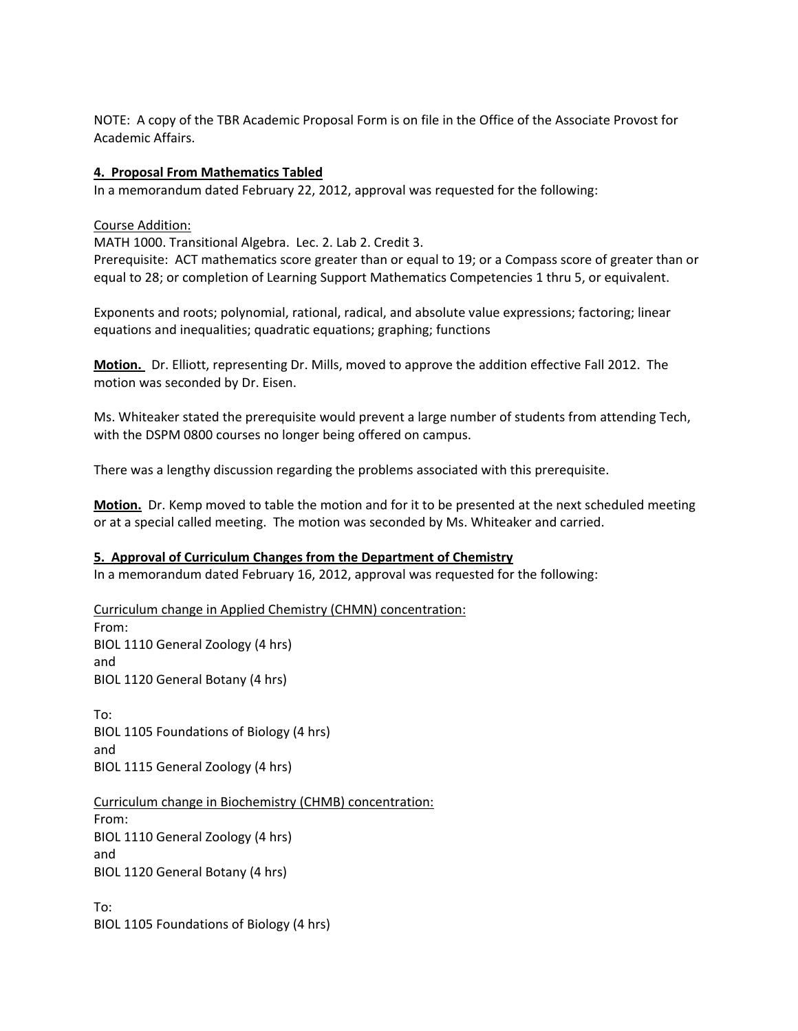NOTE: A copy of the TBR Academic Proposal Form is on file in the Office of the Associate Provost for Academic Affairs.

### **4. Proposal From Mathematics Tabled**

In a memorandum dated February 22, 2012, approval was requested for the following:

### Course Addition:

MATH 1000. Transitional Algebra. Lec. 2. Lab 2. Credit 3.

Prerequisite: ACT mathematics score greater than or equal to 19; or a Compass score of greater than or equal to 28; or completion of Learning Support Mathematics Competencies 1 thru 5, or equivalent.

Exponents and roots; polynomial, rational, radical, and absolute value expressions; factoring; linear equations and inequalities; quadratic equations; graphing; functions

**Motion.** Dr. Elliott, representing Dr. Mills, moved to approve the addition effective Fall 2012. The motion was seconded by Dr. Eisen.

Ms. Whiteaker stated the prerequisite would prevent a large number of students from attending Tech, with the DSPM 0800 courses no longer being offered on campus.

There was a lengthy discussion regarding the problems associated with this prerequisite.

**Motion.** Dr. Kemp moved to table the motion and for it to be presented at the next scheduled meeting or at a special called meeting. The motion was seconded by Ms. Whiteaker and carried.

### **5. Approval of Curriculum Changes from the Department of Chemistry**

In a memorandum dated February 16, 2012, approval was requested for the following:

Curriculum change in Applied Chemistry (CHMN) concentration: From: BIOL 1110 General Zoology (4 hrs) and BIOL 1120 General Botany (4 hrs)

To: BIOL 1105 Foundations of Biology (4 hrs) and BIOL 1115 General Zoology (4 hrs)

Curriculum change in Biochemistry (CHMB) concentration: From: BIOL 1110 General Zoology (4 hrs) and BIOL 1120 General Botany (4 hrs)

To: BIOL 1105 Foundations of Biology (4 hrs)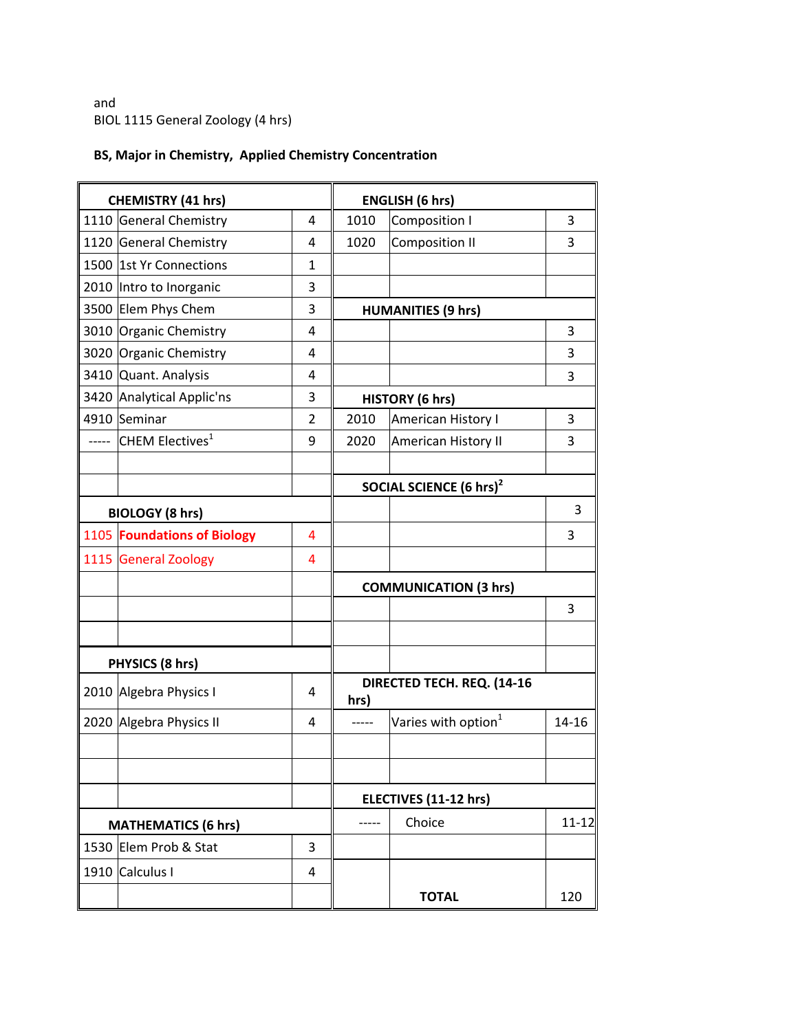and BIOL 1115 General Zoology (4 hrs)

## **BS, Major in Chemistry, Applied Chemistry Concentration**

| <b>CHEMISTRY (41 hrs)</b> |                                   |                | <b>ENGLISH (6 hrs)</b>       |                                     |           |
|---------------------------|-----------------------------------|----------------|------------------------------|-------------------------------------|-----------|
|                           | 1110 General Chemistry            | 4              | 1010                         | <b>Composition I</b>                | 3         |
|                           | 1120 General Chemistry            | 4              | 1020                         | <b>Composition II</b>               | 3         |
|                           | 1500 1st Yr Connections           | $\mathbf{1}$   |                              |                                     |           |
|                           | 2010 Intro to Inorganic           | 3              |                              |                                     |           |
|                           | 3500 Elem Phys Chem               | 3              |                              | <b>HUMANITIES (9 hrs)</b>           |           |
|                           | 3010 Organic Chemistry            | 4              |                              |                                     | 3         |
|                           | 3020 Organic Chemistry            | 4              |                              |                                     | 3         |
|                           | 3410 Quant. Analysis              | 4              |                              |                                     | 3         |
|                           | 3420 Analytical Applic'ns         | 3              |                              | <b>HISTORY (6 hrs)</b>              |           |
|                           | 4910 Seminar                      | $\overline{2}$ | 2010                         | American History I                  | 3         |
|                           | ----- CHEM Electives <sup>1</sup> | 9              | 2020                         | American History II                 | 3         |
|                           |                                   |                |                              | SOCIAL SCIENCE (6 hrs) <sup>2</sup> |           |
|                           | <b>BIOLOGY (8 hrs)</b>            |                |                              |                                     | 3         |
|                           | 1105 Foundations of Biology       | 4              |                              |                                     | 3         |
|                           | 1115 General Zoology              | 4              |                              |                                     |           |
|                           |                                   |                | <b>COMMUNICATION (3 hrs)</b> |                                     |           |
|                           |                                   |                |                              |                                     | 3         |
|                           |                                   |                |                              |                                     |           |
|                           | PHYSICS (8 hrs)                   |                |                              | DIRECTED TECH. REQ. (14-16          |           |
|                           | 2010 Algebra Physics I            | 4              | hrs)                         |                                     |           |
|                           | 2020 Algebra Physics II           | 4              | -----                        | Varies with option <sup>1</sup>     | $14 - 16$ |
|                           |                                   |                |                              |                                     |           |
|                           |                                   |                |                              | ELECTIVES (11-12 hrs)               |           |
|                           | <b>MATHEMATICS (6 hrs)</b>        |                |                              | Choice                              | $11 - 12$ |
|                           | 1530 Elem Prob & Stat             | 3              |                              |                                     |           |
|                           | 1910 Calculus I                   | 4              |                              |                                     |           |
|                           |                                   |                |                              | <b>TOTAL</b>                        | 120       |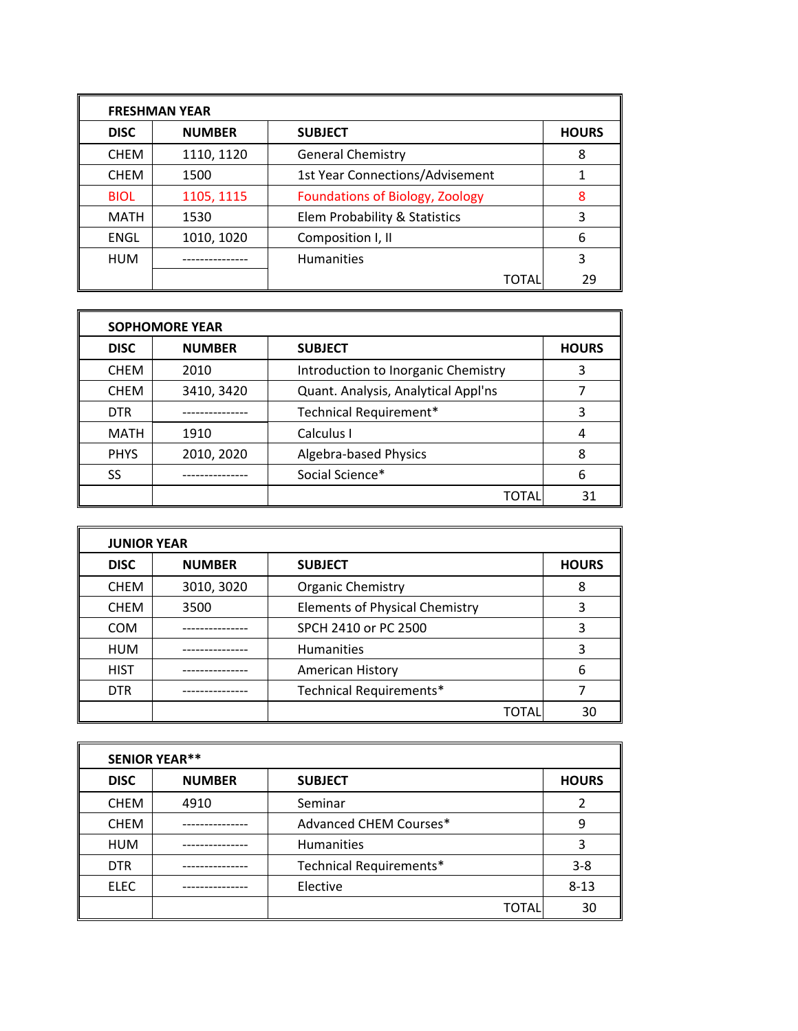| <b>FRESHMAN YEAR</b> |               |                                        |              |  |  |  |
|----------------------|---------------|----------------------------------------|--------------|--|--|--|
| <b>DISC</b>          | <b>NUMBER</b> | <b>SUBJECT</b>                         | <b>HOURS</b> |  |  |  |
| <b>CHEM</b>          | 1110, 1120    | <b>General Chemistry</b>               | 8            |  |  |  |
| <b>CHEM</b>          | 1500          | <b>1st Year Connections/Advisement</b> |              |  |  |  |
| <b>BIOL</b>          | 1105, 1115    | <b>Foundations of Biology, Zoology</b> | 8            |  |  |  |
| <b>MATH</b>          | 1530          | Elem Probability & Statistics          | 3            |  |  |  |
| <b>ENGL</b>          | 1010, 1020    | Composition I, II                      | 6            |  |  |  |
| <b>HUM</b>           |               | <b>Humanities</b>                      | 3            |  |  |  |
|                      |               | TOTAL                                  | 29           |  |  |  |

| <b>SOPHOMORE YEAR</b> |               |                                     |              |  |  |  |
|-----------------------|---------------|-------------------------------------|--------------|--|--|--|
| <b>DISC</b>           | <b>NUMBER</b> | <b>SUBJECT</b>                      | <b>HOURS</b> |  |  |  |
| <b>CHEM</b>           | 2010          | Introduction to Inorganic Chemistry | 3            |  |  |  |
| <b>CHEM</b>           | 3410, 3420    | Quant. Analysis, Analytical Appl'ns |              |  |  |  |
| <b>DTR</b>            |               | Technical Requirement*              | 3            |  |  |  |
| <b>MATH</b>           | 1910          | Calculus I                          |              |  |  |  |
| <b>PHYS</b>           | 2010, 2020    | Algebra-based Physics               | 8            |  |  |  |
| SS                    |               | Social Science*                     | 6            |  |  |  |
|                       |               | TOTAL                               | 31           |  |  |  |

|             | <b>JUNIOR YEAR</b> |                                       |              |  |  |  |  |
|-------------|--------------------|---------------------------------------|--------------|--|--|--|--|
| <b>DISC</b> | <b>NUMBER</b>      | <b>SUBJECT</b>                        | <b>HOURS</b> |  |  |  |  |
| <b>CHEM</b> | 3010, 3020         | <b>Organic Chemistry</b>              | 8            |  |  |  |  |
| <b>CHEM</b> | 3500               | <b>Elements of Physical Chemistry</b> | ς            |  |  |  |  |
| <b>COM</b>  |                    | SPCH 2410 or PC 2500                  | 3            |  |  |  |  |
| <b>HUM</b>  |                    | <b>Humanities</b>                     | 3            |  |  |  |  |
| <b>HIST</b> |                    | American History                      | 6            |  |  |  |  |
| <b>DTR</b>  |                    | Technical Requirements*               |              |  |  |  |  |
|             |                    | <b>TOTAL</b>                          | 30           |  |  |  |  |

| <b>SENIOR YEAR**</b> |               |                         |              |  |  |  |
|----------------------|---------------|-------------------------|--------------|--|--|--|
| <b>DISC</b>          | <b>NUMBER</b> | <b>SUBJECT</b>          | <b>HOURS</b> |  |  |  |
| <b>CHEM</b>          | 4910          | Seminar                 |              |  |  |  |
| <b>CHEM</b>          |               | Advanced CHEM Courses*  | 9            |  |  |  |
| <b>HUM</b>           |               | <b>Humanities</b>       | 3            |  |  |  |
| <b>DTR</b>           |               | Technical Requirements* | $3 - 8$      |  |  |  |
| <b>ELEC</b>          |               | Elective                | $8 - 13$     |  |  |  |
|                      |               | TOTAL                   | 30           |  |  |  |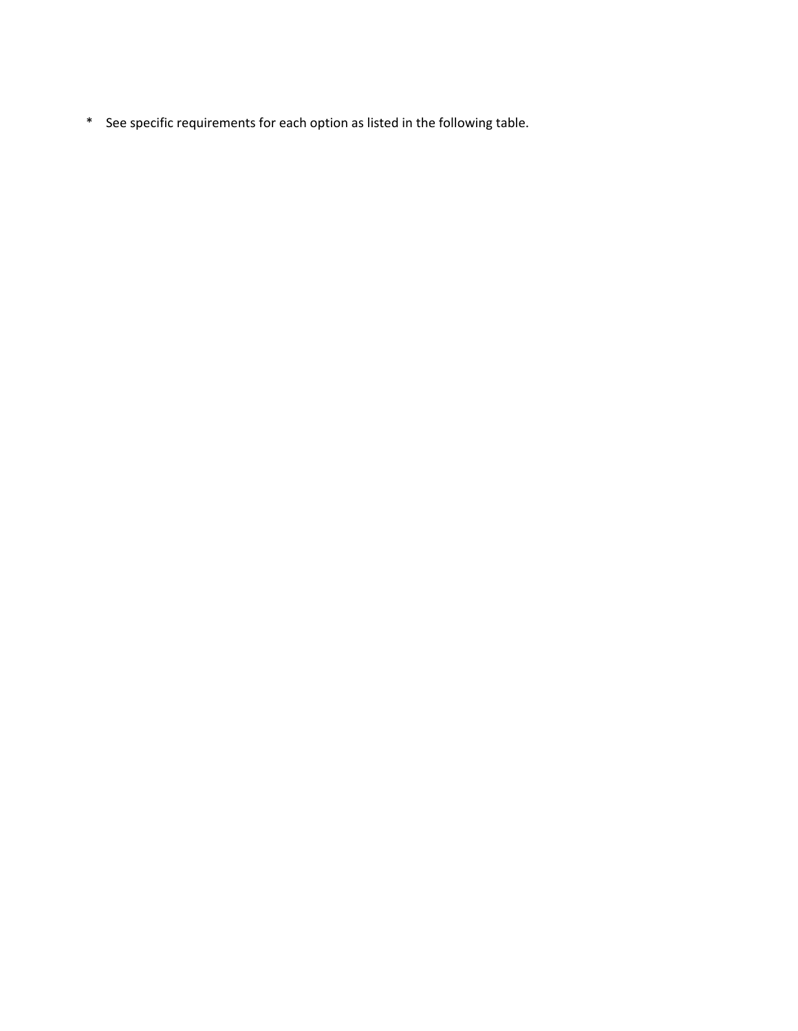\* See specific requirements for each option as listed in the following table.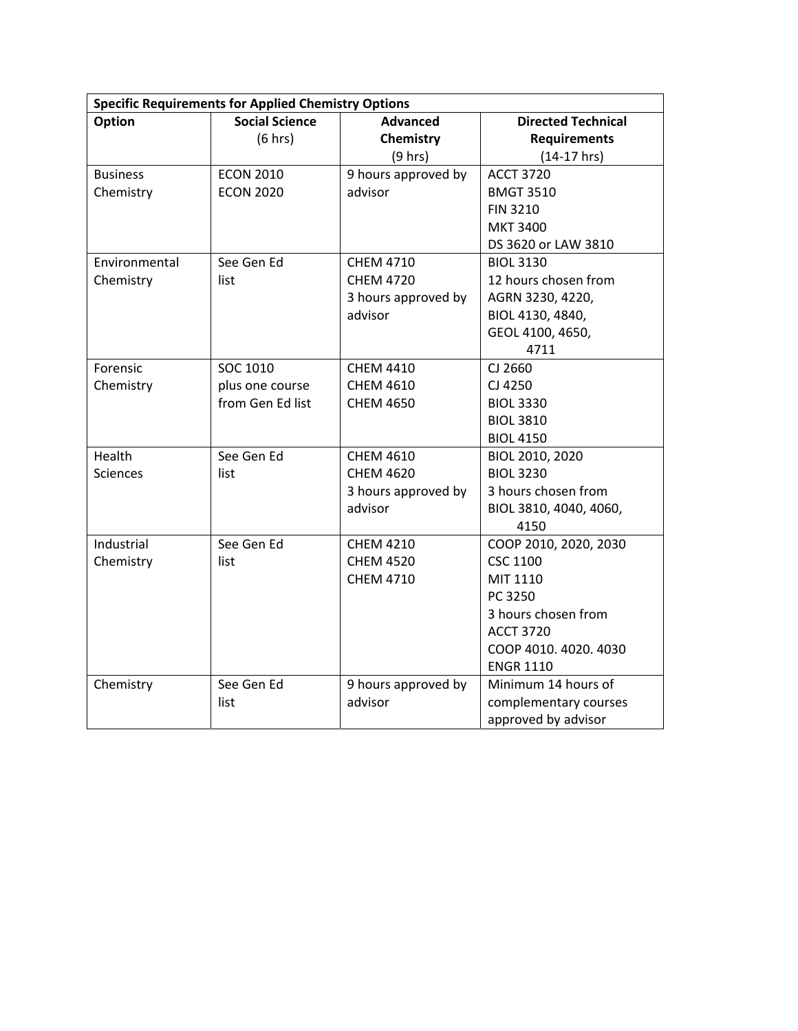| <b>Specific Requirements for Applied Chemistry Options</b> |                       |                     |                           |  |  |
|------------------------------------------------------------|-----------------------|---------------------|---------------------------|--|--|
| Option                                                     | <b>Social Science</b> | <b>Advanced</b>     | <b>Directed Technical</b> |  |  |
|                                                            | (6 hrs)               | Chemistry           | <b>Requirements</b>       |  |  |
|                                                            |                       | (9 hrs)             | $(14-17)$ hrs)            |  |  |
| <b>Business</b>                                            | <b>ECON 2010</b>      | 9 hours approved by | <b>ACCT 3720</b>          |  |  |
| Chemistry                                                  | <b>ECON 2020</b>      | advisor             | <b>BMGT 3510</b>          |  |  |
|                                                            |                       |                     | <b>FIN 3210</b>           |  |  |
|                                                            |                       |                     | <b>MKT 3400</b>           |  |  |
|                                                            |                       |                     | DS 3620 or LAW 3810       |  |  |
| Environmental                                              | See Gen Ed            | <b>CHEM 4710</b>    | <b>BIOL 3130</b>          |  |  |
| Chemistry                                                  | list                  | <b>CHEM 4720</b>    | 12 hours chosen from      |  |  |
|                                                            |                       | 3 hours approved by | AGRN 3230, 4220,          |  |  |
|                                                            |                       | advisor             | BIOL 4130, 4840,          |  |  |
|                                                            |                       |                     | GEOL 4100, 4650,          |  |  |
|                                                            |                       |                     | 4711                      |  |  |
| Forensic                                                   | SOC 1010              | <b>CHEM 4410</b>    | CJ 2660                   |  |  |
| Chemistry                                                  | plus one course       | <b>CHEM 4610</b>    | CJ 4250                   |  |  |
|                                                            | from Gen Ed list      | <b>CHEM 4650</b>    | <b>BIOL 3330</b>          |  |  |
|                                                            |                       |                     | <b>BIOL 3810</b>          |  |  |
|                                                            |                       |                     | <b>BIOL 4150</b>          |  |  |
| Health                                                     | See Gen Ed            | <b>CHEM 4610</b>    | BIOL 2010, 2020           |  |  |
| <b>Sciences</b>                                            | list                  | <b>CHEM 4620</b>    | <b>BIOL 3230</b>          |  |  |
|                                                            |                       | 3 hours approved by | 3 hours chosen from       |  |  |
|                                                            |                       | advisor             | BIOL 3810, 4040, 4060,    |  |  |
|                                                            |                       |                     | 4150                      |  |  |
| Industrial                                                 | See Gen Ed            | <b>CHEM 4210</b>    | COOP 2010, 2020, 2030     |  |  |
| Chemistry                                                  | list                  | <b>CHEM 4520</b>    | <b>CSC 1100</b>           |  |  |
|                                                            |                       | <b>CHEM 4710</b>    | MIT 1110                  |  |  |
|                                                            |                       |                     | PC 3250                   |  |  |
|                                                            |                       |                     | 3 hours chosen from       |  |  |
|                                                            |                       |                     | <b>ACCT 3720</b>          |  |  |
|                                                            |                       |                     | COOP 4010. 4020. 4030     |  |  |
|                                                            |                       |                     | <b>ENGR 1110</b>          |  |  |
| Chemistry                                                  | See Gen Ed            | 9 hours approved by | Minimum 14 hours of       |  |  |
|                                                            | list                  | advisor             | complementary courses     |  |  |
|                                                            |                       |                     | approved by advisor       |  |  |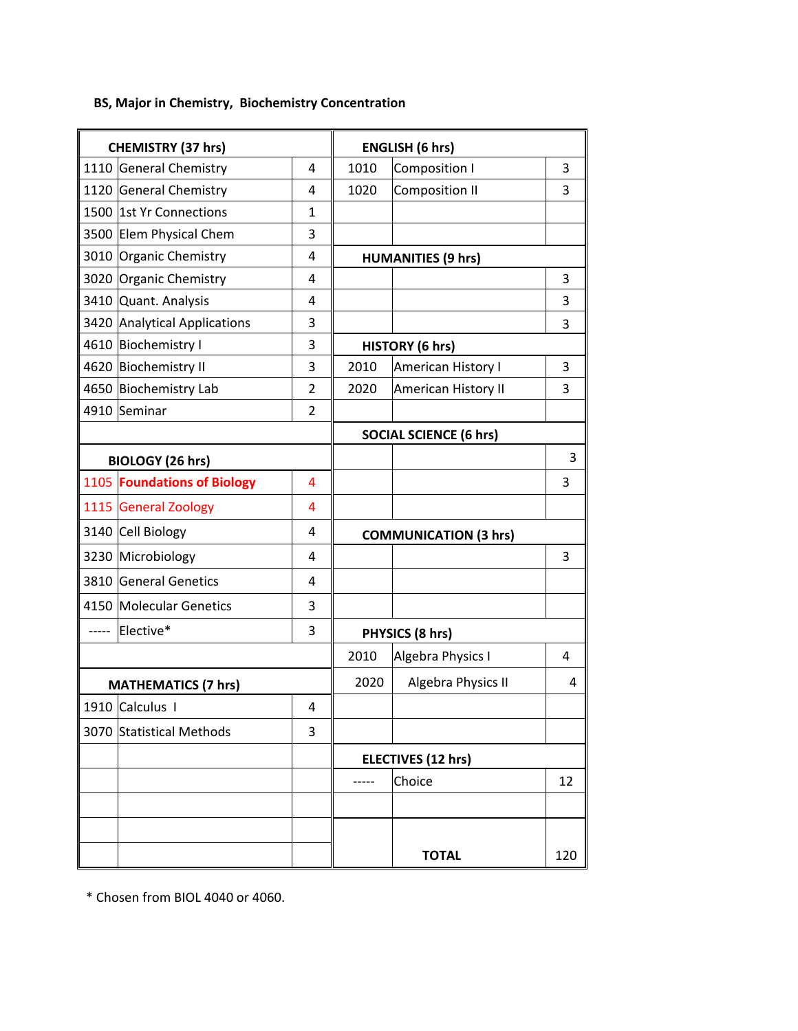## **BS, Major in Chemistry, Biochemistry Concentration**

| <b>CHEMISTRY (37 hrs)</b> |                              |                | <b>ENGLISH (6 hrs)</b>        |                              |     |
|---------------------------|------------------------------|----------------|-------------------------------|------------------------------|-----|
|                           | 1110 General Chemistry       | $\overline{4}$ | 1010                          | Composition I                | 3   |
|                           | 1120 General Chemistry       | 4              | 1020                          | <b>Composition II</b>        | 3   |
|                           | 1500 1st Yr Connections      | $\mathbf 1$    |                               |                              |     |
|                           | 3500 Elem Physical Chem      | 3              |                               |                              |     |
|                           | 3010 Organic Chemistry       | 4              |                               | <b>HUMANITIES (9 hrs)</b>    |     |
|                           | 3020 Organic Chemistry       | 4              |                               |                              | 3   |
|                           | 3410 Quant. Analysis         | 4              |                               |                              | 3   |
|                           | 3420 Analytical Applications | 3              |                               |                              | 3   |
|                           | 4610 Biochemistry I          | 3              |                               | <b>HISTORY (6 hrs)</b>       |     |
|                           | 4620 Biochemistry II         | 3              | 2010                          | American History I           | 3   |
|                           | 4650 Biochemistry Lab        | 2              | 2020                          | American History II          | 3   |
|                           | 4910 Seminar                 | $\overline{2}$ |                               |                              |     |
|                           |                              |                | <b>SOCIAL SCIENCE (6 hrs)</b> |                              |     |
| <b>BIOLOGY (26 hrs)</b>   |                              |                |                               |                              | 3   |
|                           | 1105 Foundations of Biology  | 4              |                               |                              | 3   |
|                           | 1115 General Zoology         | 4              |                               |                              |     |
|                           | 3140 Cell Biology            | 4              |                               | <b>COMMUNICATION (3 hrs)</b> |     |
|                           | 3230 Microbiology            | $\overline{4}$ |                               |                              | 3   |
|                           | 3810 General Genetics        | 4              |                               |                              |     |
|                           | 4150 Molecular Genetics      | 3              |                               |                              |     |
|                           | Elective*                    | 3              |                               | PHYSICS (8 hrs)              |     |
|                           |                              |                | 2010                          | Algebra Physics I            | 4   |
|                           | <b>MATHEMATICS (7 hrs)</b>   |                | 2020                          | Algebra Physics II           | 4   |
|                           | 1910 Calculus I              | 4              |                               |                              |     |
|                           | 3070 Statistical Methods     | 3              |                               |                              |     |
|                           |                              |                |                               | <b>ELECTIVES (12 hrs)</b>    |     |
|                           |                              |                |                               | Choice                       | 12  |
|                           |                              |                |                               |                              |     |
|                           |                              |                |                               |                              |     |
|                           |                              |                |                               | <b>TOTAL</b>                 | 120 |

\* Chosen from BIOL 4040 or 4060.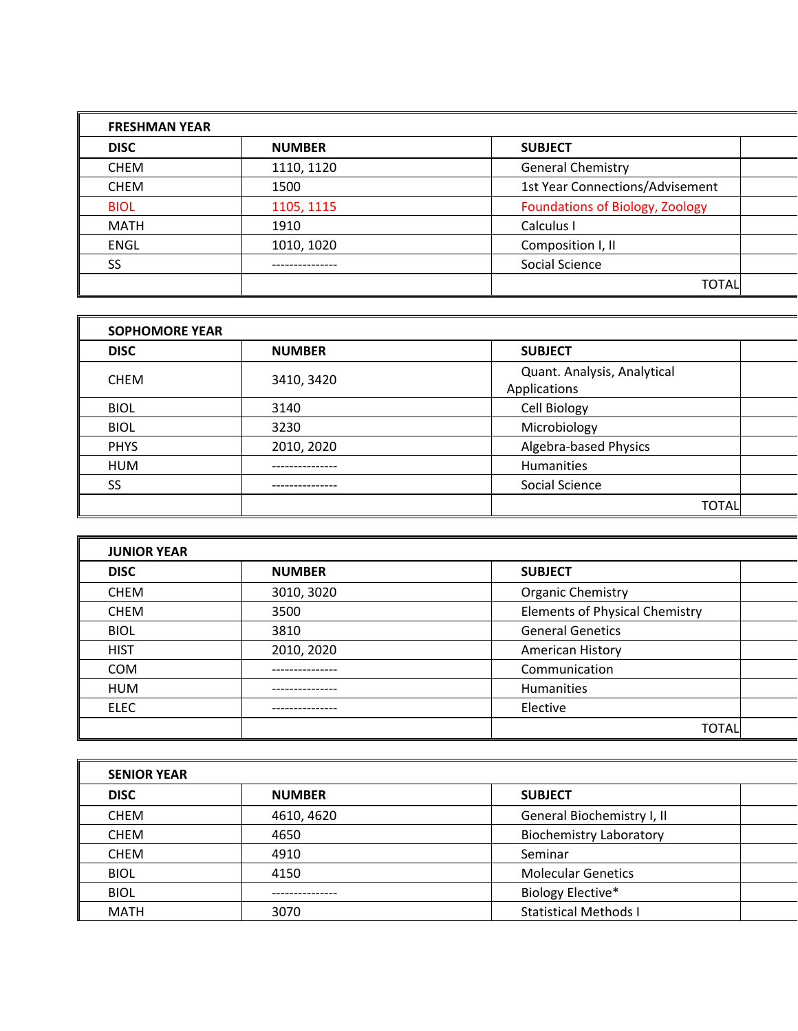| <b>FRESHMAN YEAR</b> |               |                                        |
|----------------------|---------------|----------------------------------------|
| <b>DISC</b>          | <b>NUMBER</b> | <b>SUBJECT</b>                         |
| <b>CHEM</b>          | 1110, 1120    | <b>General Chemistry</b>               |
| <b>CHEM</b>          | 1500          | 1st Year Connections/Advisement        |
| <b>BIOL</b>          | 1105, 1115    | <b>Foundations of Biology, Zoology</b> |
| <b>MATH</b>          | 1910          | Calculus I                             |
| <b>ENGL</b>          | 1010, 1020    | Composition I, II                      |
| SS                   |               | Social Science                         |
|                      |               | <b>TOTAL</b>                           |

| <b>SOPHOMORE YEAR</b> |               |                                             |  |
|-----------------------|---------------|---------------------------------------------|--|
| <b>DISC</b>           | <b>NUMBER</b> | <b>SUBJECT</b>                              |  |
| <b>CHEM</b>           | 3410, 3420    | Quant. Analysis, Analytical<br>Applications |  |
| <b>BIOL</b>           | 3140          | Cell Biology                                |  |
| <b>BIOL</b>           | 3230          | Microbiology                                |  |
| <b>PHYS</b>           | 2010, 2020    | Algebra-based Physics                       |  |
| <b>HUM</b>            |               | <b>Humanities</b>                           |  |
| SS                    |               | Social Science                              |  |
|                       |               | <b>TOTAL</b>                                |  |

| <b>JUNIOR YEAR</b> |               |                                       |
|--------------------|---------------|---------------------------------------|
| <b>DISC</b>        | <b>NUMBER</b> | <b>SUBJECT</b>                        |
| <b>CHEM</b>        | 3010, 3020    | <b>Organic Chemistry</b>              |
| <b>CHEM</b>        | 3500          | <b>Elements of Physical Chemistry</b> |
| <b>BIOL</b>        | 3810          | <b>General Genetics</b>               |
| <b>HIST</b>        | 2010, 2020    | American History                      |
| <b>COM</b>         |               | Communication                         |
| <b>HUM</b>         |               | <b>Humanities</b>                     |
| <b>ELEC</b>        |               | Elective                              |
|                    |               | <b>TOTAL</b>                          |

| <b>SENIOR YEAR</b> |               |                                |  |
|--------------------|---------------|--------------------------------|--|
| <b>DISC</b>        | <b>NUMBER</b> | <b>SUBJECT</b>                 |  |
| <b>CHEM</b>        | 4610, 4620    | General Biochemistry I, II     |  |
| <b>CHEM</b>        | 4650          | <b>Biochemistry Laboratory</b> |  |
| <b>CHEM</b>        | 4910          | Seminar                        |  |
| <b>BIOL</b>        | 4150          | <b>Molecular Genetics</b>      |  |
| <b>BIOL</b>        |               | Biology Elective*              |  |
| <b>MATH</b>        | 3070          | <b>Statistical Methods I</b>   |  |

г.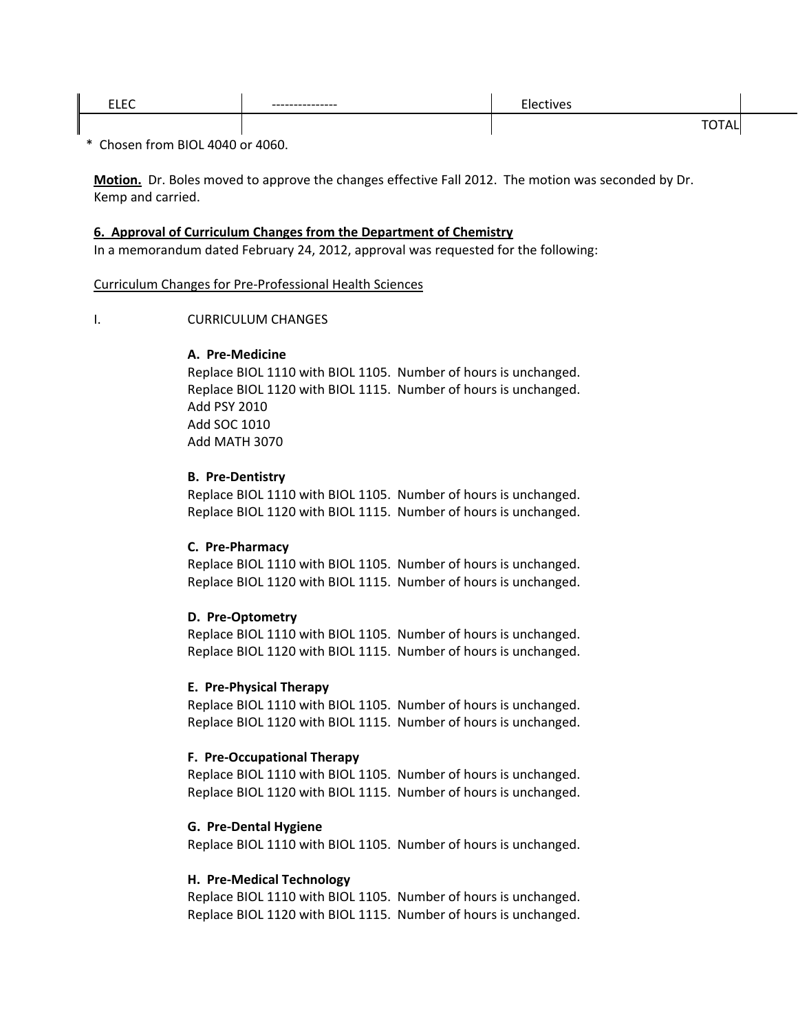| $- \cdot - -$<br>---- | ---------------- |  |
|-----------------------|------------------|--|
|                       |                  |  |

\* Chosen from BIOL 4040 or 4060.

**Motion.** Dr. Boles moved to approve the changes effective Fall 2012. The motion was seconded by Dr. Kemp and carried.

### **6. Approval of Curriculum Changes from the Department of Chemistry**

In a memorandum dated February 24, 2012, approval was requested for the following:

### Curriculum Changes for Pre‐Professional Health Sciences

### I. CURRICULUM CHANGES

### **A. Pre‐Medicine**

Replace BIOL 1110 with BIOL 1105. Number of hours is unchanged. Replace BIOL 1120 with BIOL 1115. Number of hours is unchanged. Add PSY 2010 Add SOC 1010 Add MATH 3070

### **B. Pre‐Dentistry**

Replace BIOL 1110 with BIOL 1105. Number of hours is unchanged. Replace BIOL 1120 with BIOL 1115. Number of hours is unchanged.

### **C. Pre‐Pharmacy**

Replace BIOL 1110 with BIOL 1105. Number of hours is unchanged. Replace BIOL 1120 with BIOL 1115. Number of hours is unchanged.

### **D. Pre‐Optometry**

Replace BIOL 1110 with BIOL 1105. Number of hours is unchanged. Replace BIOL 1120 with BIOL 1115. Number of hours is unchanged.

### **E. Pre‐Physical Therapy**

Replace BIOL 1110 with BIOL 1105. Number of hours is unchanged. Replace BIOL 1120 with BIOL 1115. Number of hours is unchanged.

### **F. Pre‐Occupational Therapy**

Replace BIOL 1110 with BIOL 1105. Number of hours is unchanged. Replace BIOL 1120 with BIOL 1115. Number of hours is unchanged.

### **G. Pre‐Dental Hygiene**

Replace BIOL 1110 with BIOL 1105. Number of hours is unchanged.

### **H. Pre‐Medical Technology**

Replace BIOL 1110 with BIOL 1105. Number of hours is unchanged. Replace BIOL 1120 with BIOL 1115. Number of hours is unchanged.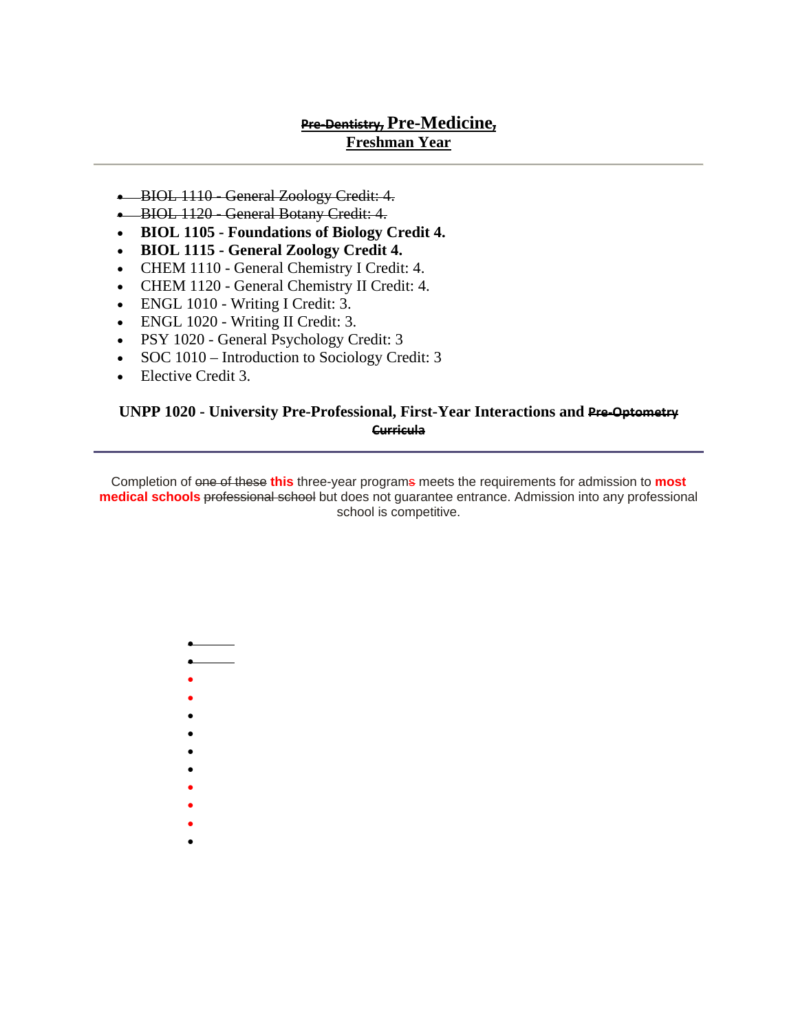## **Pre‐Dentistry, Pre-Medicine, Freshman Year**

- BIOL 1110 General Zoology Credit: 4.
- BIOL 1120 General Botany Credit: 4.
- **BIOL 1105 Foundations of Biology Credit 4.**
- **BIOL 1115 General Zoology Credit 4.**
- CHEM 1110 General Chemistry I Credit: 4.
- CHEM 1120 General Chemistry II Credit: 4.
- ENGL 1010 Writing I Credit: 3.
- ENGL 1020 Writing II Credit: 3.
- PSY 1020 General Psychology Credit: 3
- SOC 1010 Introduction to Sociology Credit: 3
- Elective Credit 3.

## **UNPP 1020 - University Pre-Professional, First-Year Interactions and Pre-Optometry Curricula**

Completion of one of these **this** three-year programs meets the requirements for admission to **most medical schools** professional school but does not guarantee entrance. Admission into any professional school is competitive.

- •
- •
- •
- •
- •
- •
- •
- •
- •
- •
- •
- •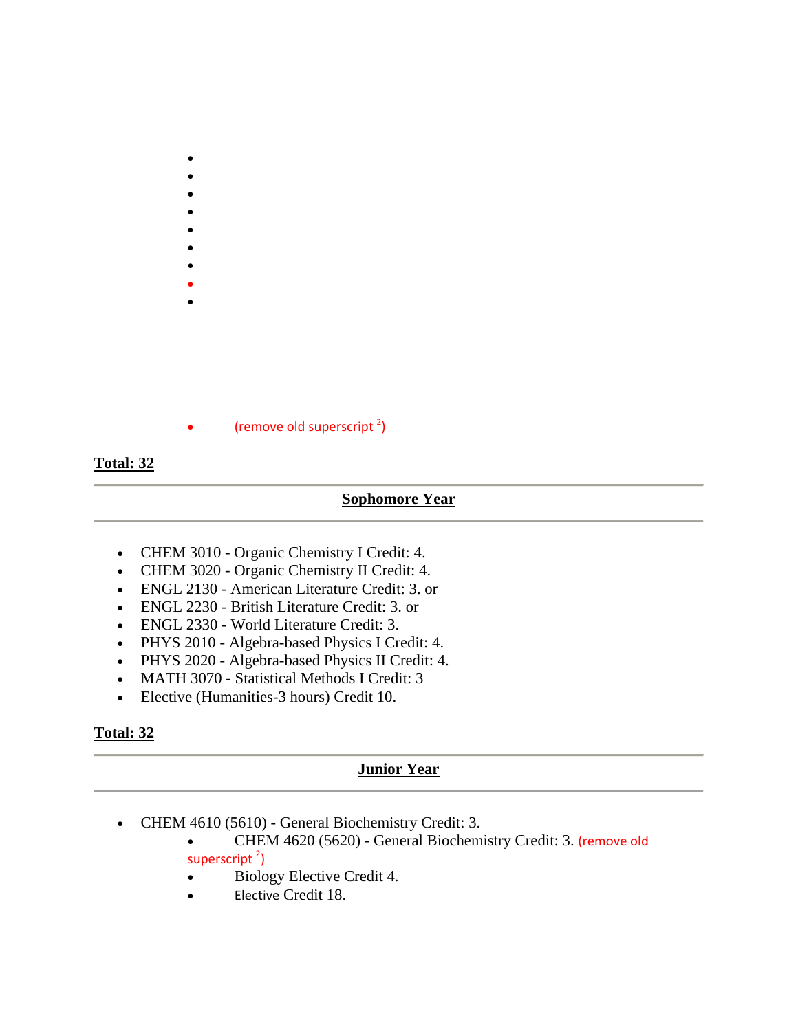- •
- •
- •
- •
- •
- •
- •
- •

• (remove old superscript  $2$ )

## **Total: 32**

## **Sophomore Year**

- CHEM 3010 Organic Chemistry I Credit: 4.
- CHEM 3020 Organic Chemistry II Credit: 4.
- ENGL 2130 American Literature Credit: 3. or
- ENGL 2230 British Literature Credit: 3. or
- ENGL 2330 World Literature Credit: 3.
- PHYS 2010 Algebra-based Physics I Credit: 4.
- PHYS 2020 Algebra-based Physics II Credit: 4.
- MATH 3070 Statistical Methods I Credit: 3
- Elective (Humanities-3 hours) Credit 10.

## **Total: 32**

## **Junior Year**

- CHEM 4610 (5610) General Biochemistry Credit: 3.
	- CHEM 4620 (5620) General Biochemistry Credit: 3. (remove old
	- superscript<sup>2</sup>)
	- Biology Elective Credit 4.
	- Elective Credit 18.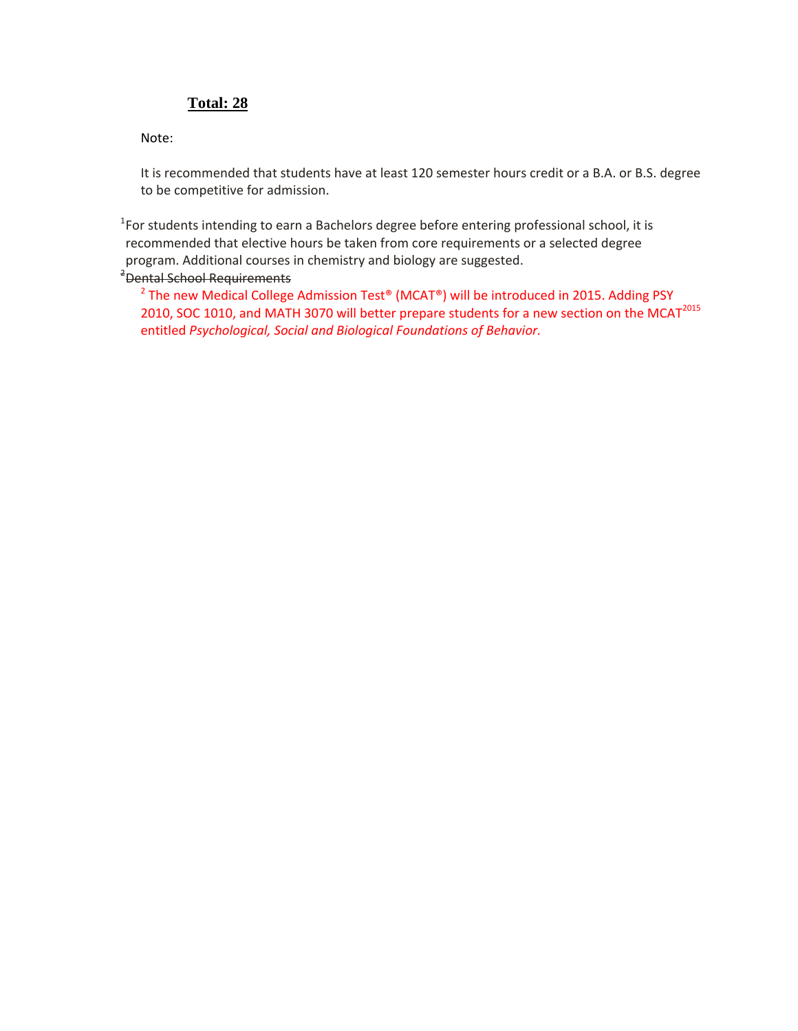## **Total: 28**

Note:

It is recommended that students have at least 120 semester hours credit or a B.A. or B.S. degree to be competitive for admission.

<sup>1</sup>For students intending to earn a Bachelors degree before entering professional school, it is recommended that elective hours be taken from core requirements or a selected degree program. Additional courses in chemistry and biology are suggested. 2 Dental School Requirements

<sup>2</sup> The new Medical College Admission Test<sup>®</sup> (MCAT<sup>®</sup>) will be introduced in 2015. Adding PSY 2010, SOC 1010, and MATH 3070 will better prepare students for a new section on the MCAT<sup>2015</sup> entitled *Psychological, Social and Biological Foundations of Behavior.*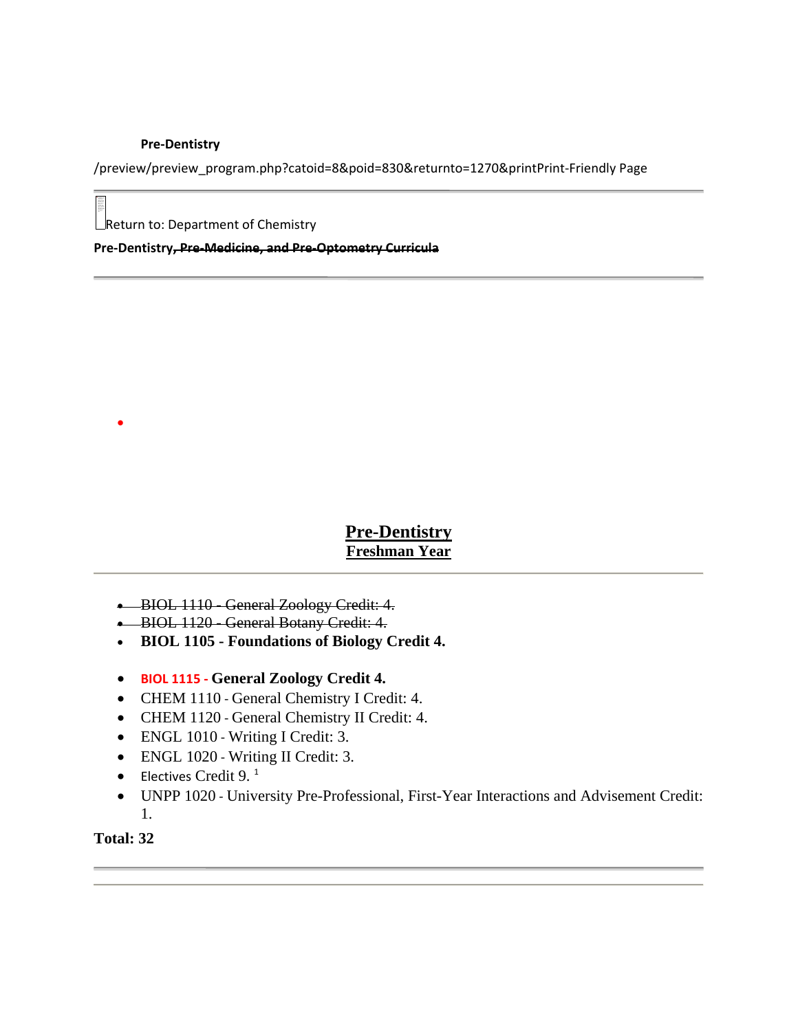### **Pre‐Dentistry**

/preview/preview\_program.php?catoid=8&poid=830&returnto=1270&printPrint‐Friendly Page

 $\Box$ Return to: Department of Chemistry

**Pre‐Dentistry, Pre‐Medicine, and Pre‐Optometry Curricula**

## **Pre-Dentistry Freshman Year**

- BIOL 1110 General Zoology Credit: 4.
- BIOL 1120 General Botany Credit: 4.
- **BIOL 1105 Foundations of Biology Credit 4.**
- **BIOL 1115 ‐ General Zoology Credit 4.**
- CHEM 1110 General Chemistry I Credit: 4.
- CHEM 1120 General Chemistry II Credit: 4.
- ENGL 1010 Writing I Credit: 3.
- ENGL 1020 Writing II Credit: 3.
- Electives Credit 9. $<sup>1</sup>$ </sup>
- UNPP 1020 ‐ University Pre-Professional, First-Year Interactions and Advisement Credit: 1.

## **Total: 32**

•

be displayed. Your again. If the red x still appears, you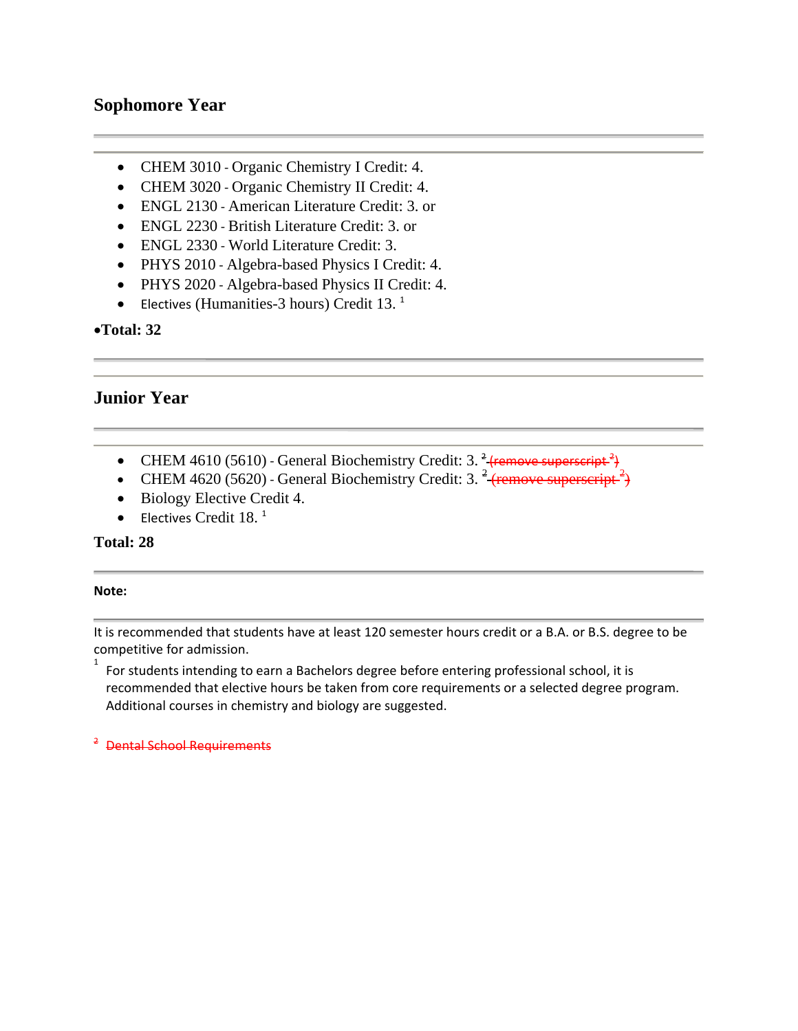## **Sophomore Year**

- CHEM 3010 Organic Chemistry I Credit: 4.
- CHEM 3020 Organic Chemistry II Credit: 4.
- ENGL 2130 American Literature Credit: 3. or
- ENGL 2230 British Literature Credit: 3. or
- ENGL 2330 World Literature Credit: 3.
- PHYS 2010 Algebra-based Physics I Credit: 4.
- PHYS 2020 Algebra-based Physics II Credit: 4.
- Electives (Humanities-3 hours) Credit 13.<sup>1</sup>

•**Total: 32** 

## **Junior Year**

- CHEM 4610 (5610) General Biochemistry Credit: 3.  $\frac{2}{3}$  (remove superscript  $\frac{2}{3}$ )
- CHEM 4620 (5620) General Biochemistry Credit: 3.  $\frac{2}{3}$  (remove superscript  $\frac{2}{3}$ )
- Biology Elective Credit 4.
- Electives Credit  $18.1$

## **Total: 28**

### **Note:**

1

It is recommended that students have at least 120 semester hours credit or a B.A. or B.S. degree to be competitive for admission.

For students intending to earn a Bachelors degree before entering professional school, it is recommended that elective hours be taken from core requirements or a selected degree program. Additional courses in chemistry and biology are suggested.

<sup>2</sup> Dental School Requirements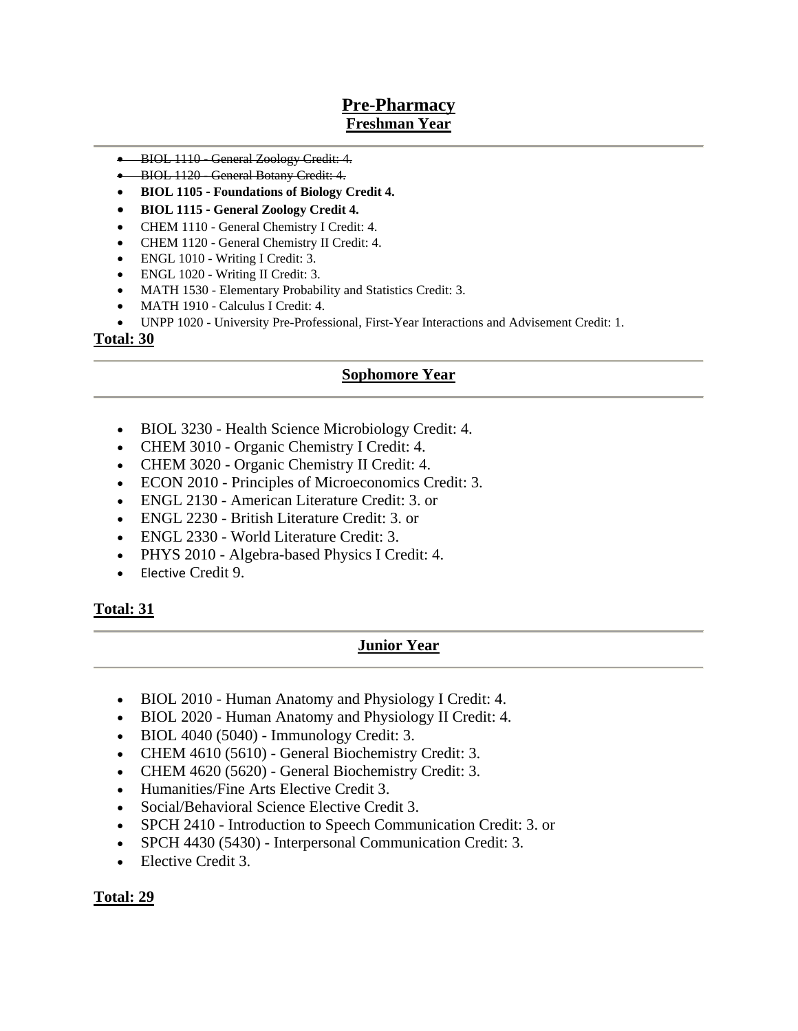## **Pre-Pharmacy Freshman Year**

- BIOL 1110 General Zoology Credit: 4.
- BIOL 1120 General Botany Credit: 4.
- **BIOL 1105 ‐ Foundations of Biology Credit 4.**
- **BIOL 1115 ‐ General Zoology Credit 4.**
- CHEM 1110 General Chemistry I Credit: 4.
- CHEM 1120 General Chemistry II Credit: 4.
- ENGL 1010 Writing I Credit: 3.
- ENGL 1020 Writing II Credit: 3.
- MATH 1530 Elementary Probability and Statistics Credit: 3.
- MATH 1910 Calculus I Credit: 4.
- UNPP 1020 University Pre-Professional, First-Year Interactions and Advisement Credit: 1.

### **Total: 30**

### **Sophomore Year**

- BIOL 3230 Health Science Microbiology Credit: 4.
- CHEM 3010 Organic Chemistry I Credit: 4.
- CHEM 3020 Organic Chemistry II Credit: 4.
- ECON 2010 Principles of Microeconomics Credit: 3.
- ENGL 2130 American Literature Credit: 3. or
- ENGL 2230 British Literature Credit: 3. or
- ENGL 2330 World Literature Credit: 3.
- PHYS 2010 Algebra-based Physics I Credit: 4.
- Elective Credit 9.

### **Total: 31**

### **Junior Year**

- BIOL 2010 Human Anatomy and Physiology I Credit: 4.
- BIOL 2020 Human Anatomy and Physiology II Credit: 4.
- BIOL 4040 (5040) Immunology Credit: 3.
- CHEM 4610 (5610) General Biochemistry Credit: 3.
- CHEM 4620 (5620) General Biochemistry Credit: 3.
- Humanities/Fine Arts Elective Credit 3.
- Social/Behavioral Science Elective Credit 3.
- SPCH 2410 Introduction to Speech Communication Credit: 3. or
- SPCH 4430 (5430) Interpersonal Communication Credit: 3.
- Elective Credit 3.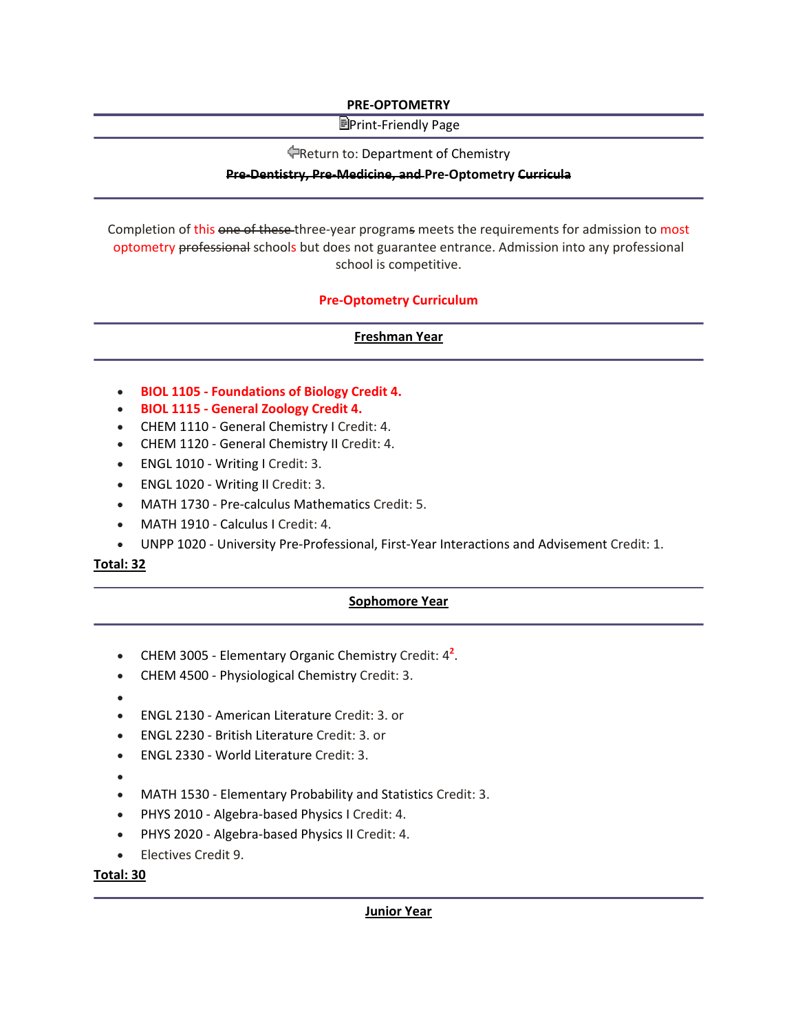### **PRE‐OPTOMETRY**

### **E**Print-Friendly Page

### Return to: Department of Chemistry

### **Pre‐Dentistry, Pre‐Medicine, and Pre‐Optometry Curricula**

Completion of this one of these three-year programs meets the requirements for admission to most optometry professional schools but does not guarantee entrance. Admission into any professional school is competitive.

### **Pre‐Optometry Curriculum**

### **Freshman Year**

- **BIOL 1105 ‐ Foundations of Biology Credit 4.**
- **BIOL 1115 ‐ General Zoology Credit 4.**
- CHEM 1110 General Chemistry I Credit: 4.
- CHEM 1120 General Chemistry II Credit: 4.
- ENGL 1010 Writing I Credit: 3.
- ENGL 1020 Writing II Credit: 3.
- MATH 1730 Pre-calculus Mathematics Credit: 5.
- MATH 1910 Calculus I Credit: 4.
- UNPP 1020 ‐ University Pre‐Professional, First‐Year Interactions and Advisement Credit: 1.

### **Total: 32**

### **Sophomore Year**

- CHEM 3005 ‐ Elementary Organic Chemistry Credit: 4**<sup>2</sup>** .
- CHEM 4500 Physiological Chemistry Credit: 3.
- •
- ENGL 2130 ‐ American Literature Credit: 3. or
- ENGL 2230 ‐ British Literature Credit: 3. or
- ENGL 2330 ‐ World Literature Credit: 3.
- •
- MATH 1530 Elementary Probability and Statistics Credit: 3.
- PHYS 2010 Algebra-based Physics I Credit: 4.
- PHYS 2020 Algebra-based Physics II Credit: 4.
- Electives Credit 9.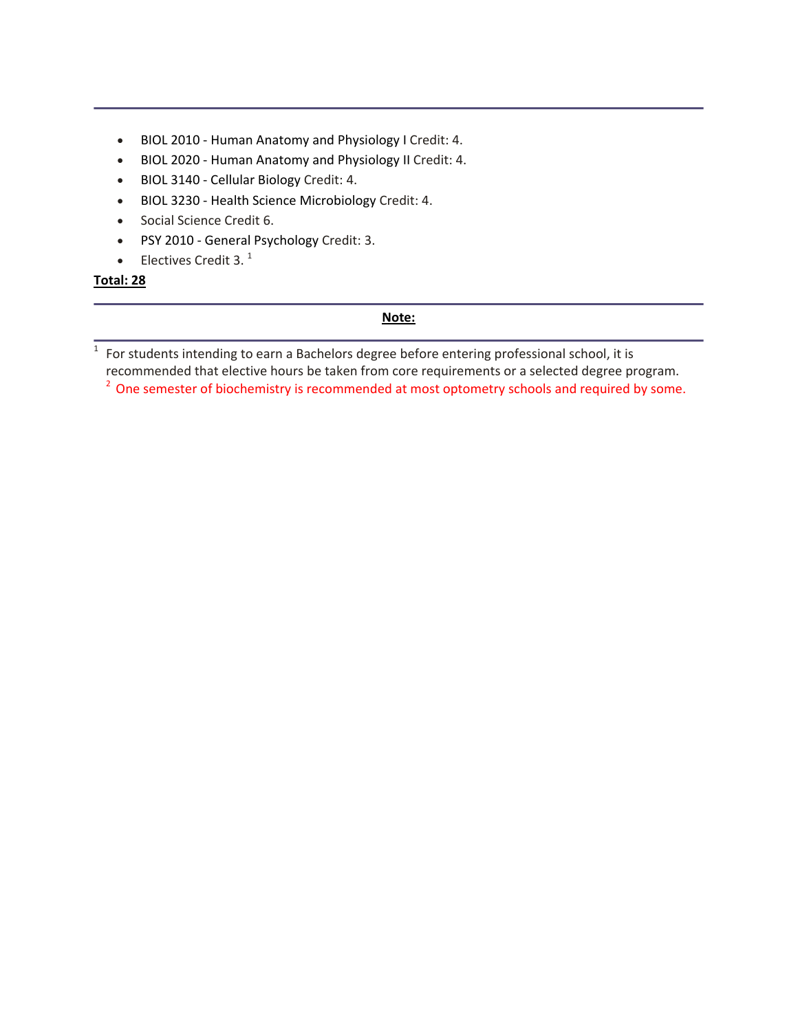- BIOL 2010 Human Anatomy and Physiology I Credit: 4.
- BIOL 2020 Human Anatomy and Physiology II Credit: 4.
- BIOL 3140 ‐ Cellular Biology Credit: 4.
- BIOL 3230 ‐ Health Science Microbiology Credit: 4.
- Social Science Credit 6.
- PSY 2010 ‐ General Psychology Credit: 3.
- Electives Credit 3. $<sup>1</sup>$ </sup>

### **Total: 28**

### **Note:**

 $\frac{1}{1}$  For students intending to earn a Bachelors degree before entering professional school, it is recommended that elective hours be taken from core requirements or a selected degree program. <sup>2</sup> One semester of biochemistry is recommended at most optometry schools and required by some.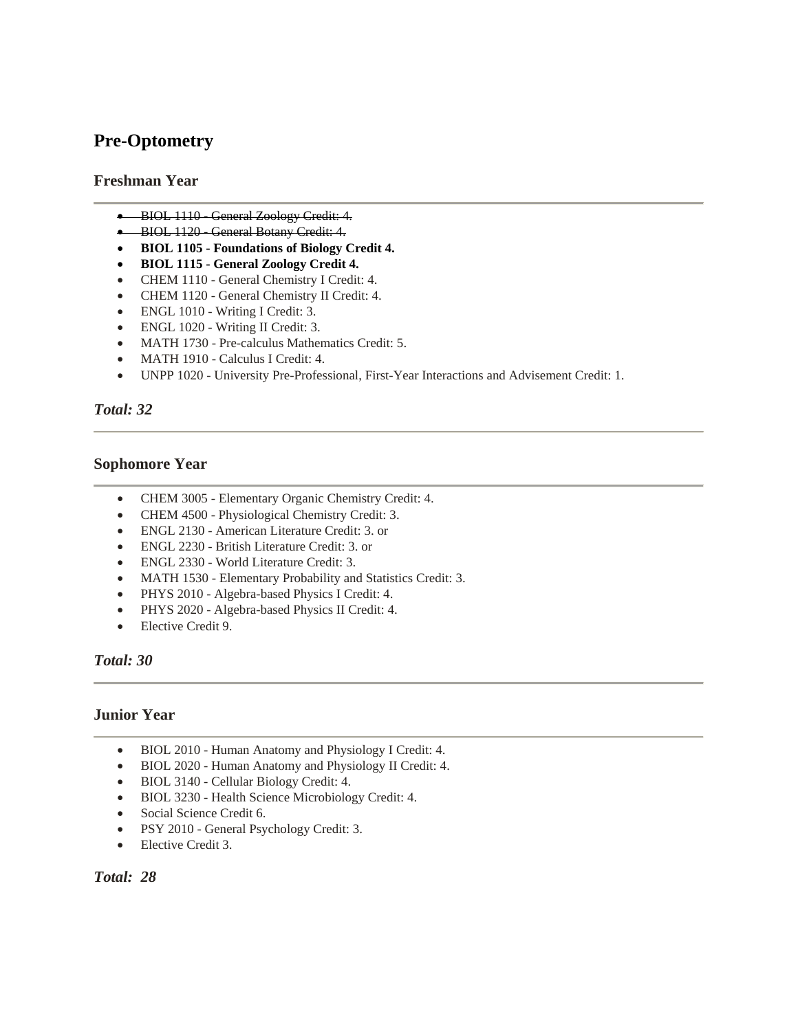## **Pre-Optometry**

### **Freshman Year**

- BIOL 1110 General Zoology Credit: 4.
- BIOL 1120 General Botany Credit: 4.
- **BIOL 1105 Foundations of Biology Credit 4.**
- **BIOL 1115 General Zoology Credit 4.**
- CHEM 1110 General Chemistry I Credit: 4.
- CHEM 1120 General Chemistry II Credit: 4.
- ENGL 1010 Writing I Credit: 3.
- ENGL 1020 Writing II Credit: 3.
- MATH 1730 Pre-calculus Mathematics Credit: 5.
- MATH 1910 Calculus I Credit: 4.
- UNPP 1020 University Pre-Professional, First-Year Interactions and Advisement Credit: 1.

### *Total: 32*

### **Sophomore Year**

- CHEM 3005 Elementary Organic Chemistry Credit: 4.
- CHEM 4500 Physiological Chemistry Credit: 3.
- ENGL 2130 American Literature Credit: 3. or
- ENGL 2230 British Literature Credit: 3. or
- ENGL 2330 World Literature Credit: 3.
- MATH 1530 Elementary Probability and Statistics Credit: 3.
- PHYS 2010 Algebra-based Physics I Credit: 4.
- PHYS 2020 Algebra-based Physics II Credit: 4.
- Elective Credit 9.

### *Total: 30*

### **Junior Year**

- BIOL 2010 Human Anatomy and Physiology I Credit: 4.
- BIOL 2020 Human Anatomy and Physiology II Credit: 4.
- BIOL 3140 Cellular Biology Credit: 4.
- BIOL 3230 Health Science Microbiology Credit: 4.
- Social Science Credit 6.
- PSY 2010 General Psychology Credit: 3.
- Elective Credit 3.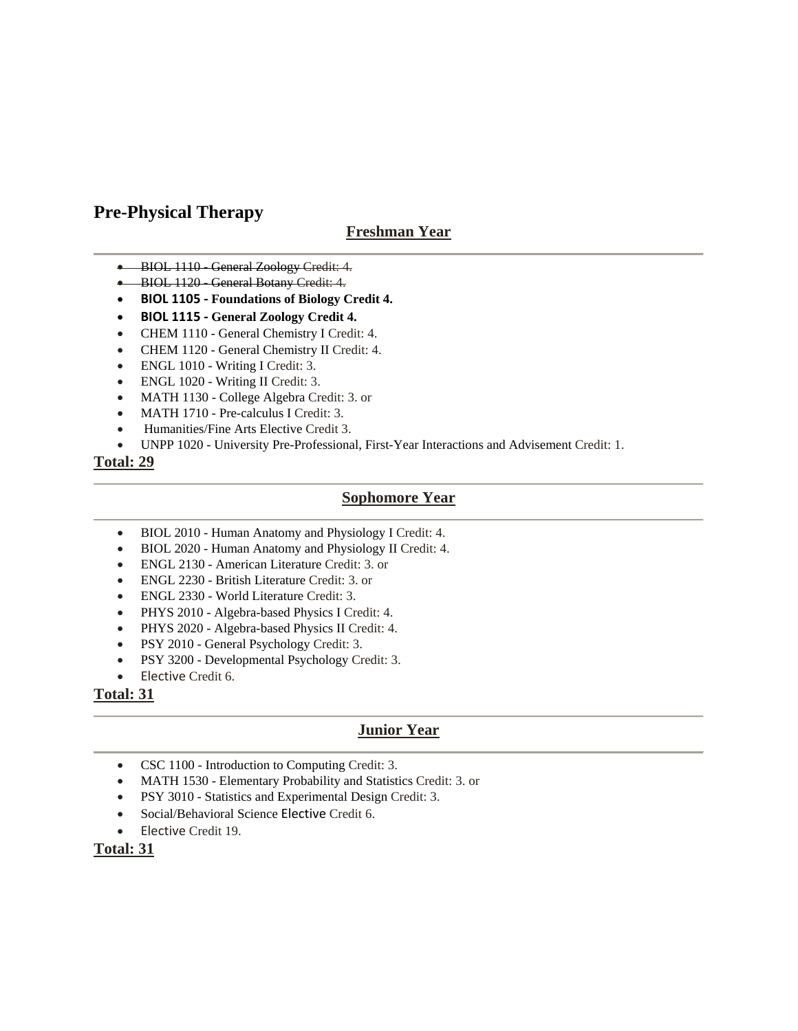## **Pre-Physical Therapy**

## **Freshman Year**

- BIOL 1110 General Zoology Credit: 4.
- BIOL 1120 General Botany Credit: 4.
- **BIOL 1105 ‐ Foundations of Biology Credit 4.**
- **BIOL 1115 ‐ General Zoology Credit 4.**
- CHEM 1110 General Chemistry I Credit: 4.
- CHEM 1120 General Chemistry II Credit: 4.
- ENGL 1010 Writing I Credit: 3.
- ENGL 1020 Writing II Credit: 3.
- MATH 1130 College Algebra Credit: 3. or
- MATH 1710 Pre-calculus I Credit: 3.
- Humanities/Fine Arts Elective Credit 3.
- UNPP 1020 University Pre-Professional, First-Year Interactions and Advisement Credit: 1.

### **Total: 29**

### **Sophomore Year**

- BIOL 2010 Human Anatomy and Physiology I Credit: 4.
- BIOL 2020 Human Anatomy and Physiology II Credit: 4.
- ENGL 2130 American Literature Credit: 3. or
- ENGL 2230 British Literature Credit: 3. or
- ENGL 2330 World Literature Credit: 3.
- PHYS 2010 Algebra-based Physics I Credit: 4.
- PHYS 2020 Algebra-based Physics II Credit: 4.
- PSY 2010 General Psychology Credit: 3.
- PSY 3200 Developmental Psychology Credit: 3.
- Elective Credit 6.

### **Total: 31**

## **Junior Year**

- CSC 1100 Introduction to Computing Credit: 3.
- MATH 1530 Elementary Probability and Statistics Credit: 3. or
- PSY 3010 Statistics and Experimental Design Credit: 3.
- Social/Behavioral Science Elective Credit 6.
- Elective Credit 19.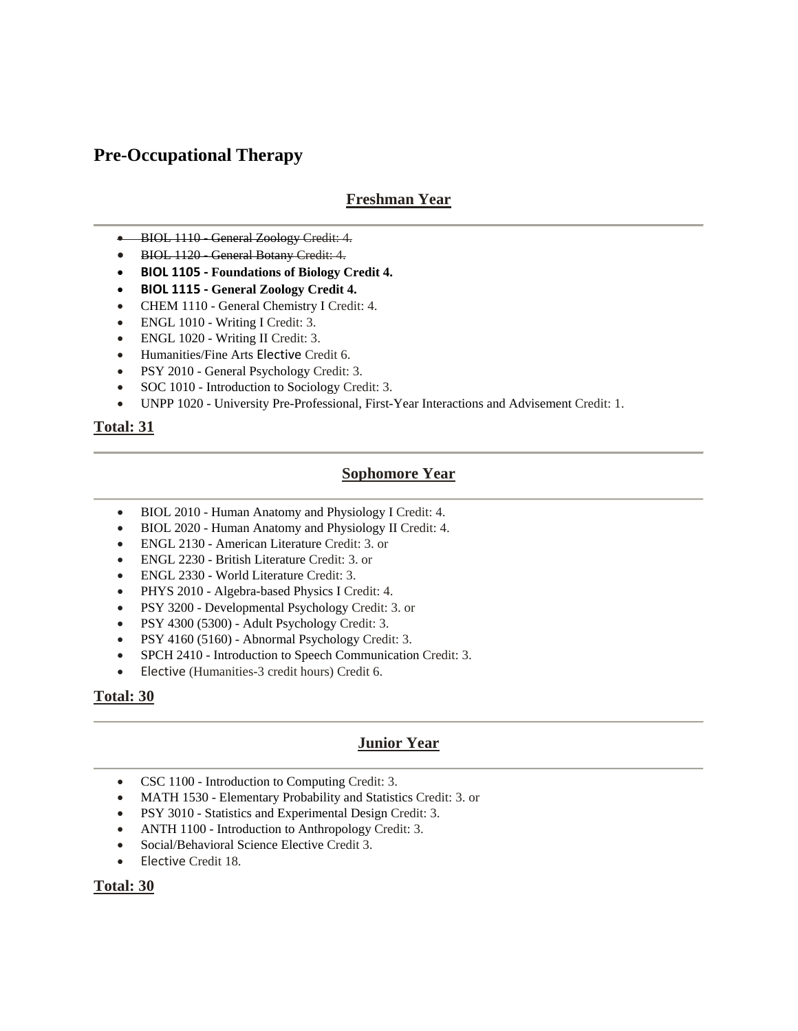## **Pre-Occupational Therapy**

## **Freshman Year**

- BIOL 1110 General Zoology Credit: 4.
- BIOL 1120 General Botany Credit: 4.
- **BIOL 1105 ‐ Foundations of Biology Credit 4.**
- **BIOL 1115 ‐ General Zoology Credit 4.**
- CHEM 1110 General Chemistry I Credit: 4.
- ENGL 1010 Writing I Credit: 3.
- ENGL 1020 Writing II Credit: 3.
- Humanities/Fine Arts Elective Credit 6.
- PSY 2010 General Psychology Credit: 3.
- SOC 1010 Introduction to Sociology Credit: 3.
- UNPP 1020 University Pre-Professional, First-Year Interactions and Advisement Credit: 1.

### **Total: 31**

### **Sophomore Year**

- BIOL 2010 Human Anatomy and Physiology I Credit: 4.
- BIOL 2020 Human Anatomy and Physiology II Credit: 4.
- ENGL 2130 American Literature Credit: 3. or
- ENGL 2230 British Literature Credit: 3. or
- ENGL 2330 World Literature Credit: 3.
- PHYS 2010 Algebra-based Physics I Credit: 4.
- PSY 3200 Developmental Psychology Credit: 3. or
- PSY 4300 (5300) Adult Psychology Credit: 3.
- PSY 4160 (5160) Abnormal Psychology Credit: 3.
- SPCH 2410 Introduction to Speech Communication Credit: 3.
- Elective (Humanities-3 credit hours) Credit 6.

### **Total: 30**

### **Junior Year**

- CSC 1100 Introduction to Computing Credit: 3.
- MATH 1530 Elementary Probability and Statistics Credit: 3. or
- PSY 3010 Statistics and Experimental Design Credit: 3.
- ANTH 1100 Introduction to Anthropology Credit: 3.
- Social/Behavioral Science Elective Credit 3.
- Elective Credit 18.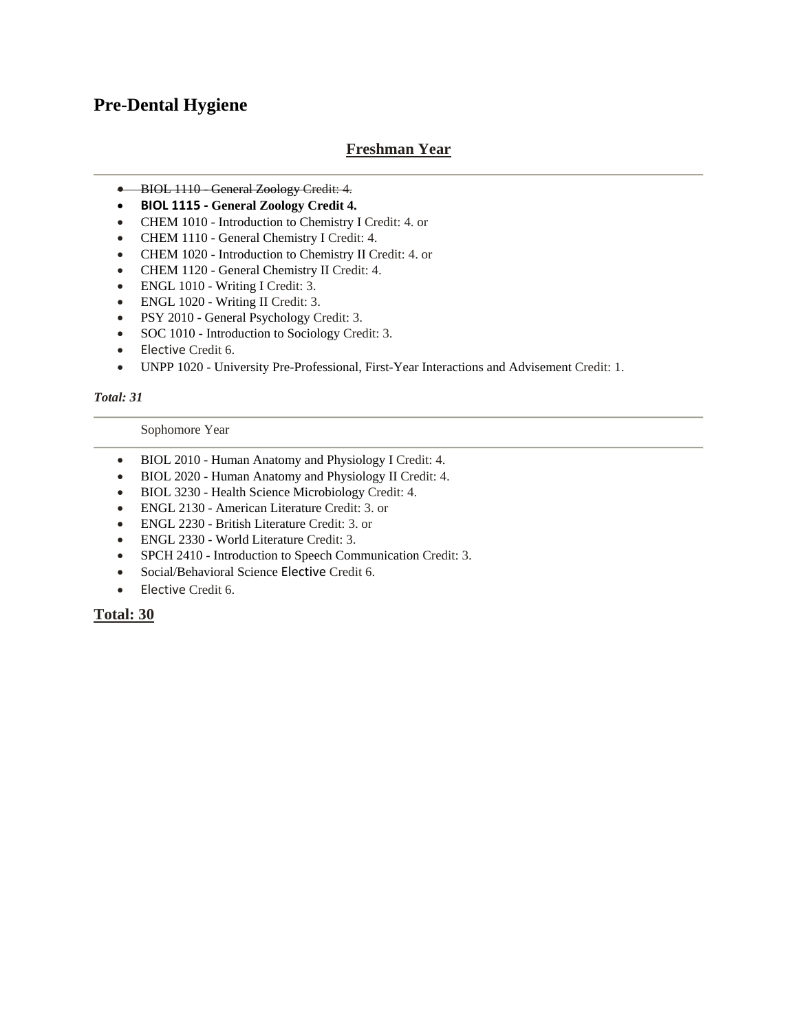## **Pre-Dental Hygiene**

## **Freshman Year**

- BIOL 1110 General Zoology Credit: 4.
- **BIOL 1115 ‐ General Zoology Credit 4.**
- CHEM 1010 Introduction to Chemistry I Credit: 4. or
- CHEM 1110 General Chemistry I Credit: 4.
- CHEM 1020 Introduction to Chemistry II Credit: 4. or
- CHEM 1120 General Chemistry II Credit: 4.
- ENGL 1010 Writing I Credit: 3.
- ENGL 1020 Writing II Credit: 3.
- PSY 2010 General Psychology Credit: 3.
- SOC 1010 Introduction to Sociology Credit: 3.
- Elective Credit 6.
- UNPP 1020 University Pre-Professional, First-Year Interactions and Advisement Credit: 1.

### *Total: 31*

### Sophomore Year

- BIOL 2010 Human Anatomy and Physiology I Credit: 4.
- BIOL 2020 Human Anatomy and Physiology II Credit: 4.
- BIOL 3230 Health Science Microbiology Credit: 4.
- ENGL 2130 American Literature Credit: 3. or
- ENGL 2230 British Literature Credit: 3. or
- ENGL 2330 World Literature Credit: 3.
- SPCH 2410 Introduction to Speech Communication Credit: 3.
- Social/Behavioral Science Elective Credit 6.
- Elective Credit 6.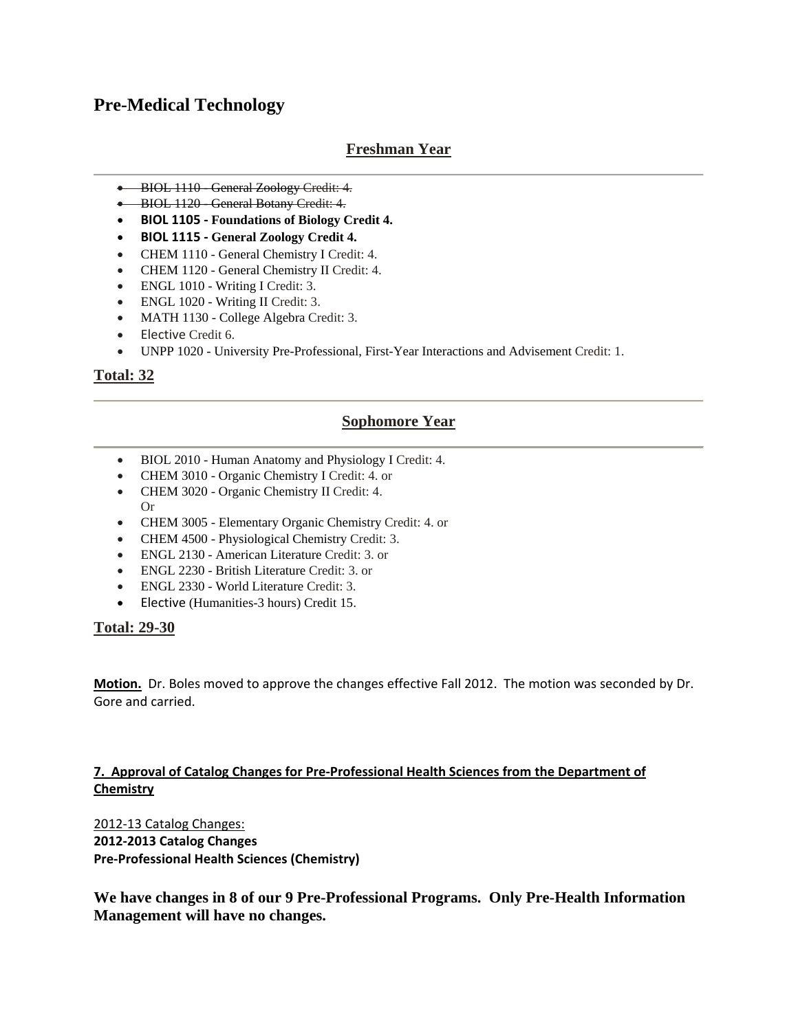## **Pre-Medical Technology**

## **Freshman Year**

- BIOL 1110 General Zoology Credit: 4.
- BIOL 1120 General Botany Credit: 4.
- **BIOL 1105 ‐ Foundations of Biology Credit 4.**
- **BIOL 1115 ‐ General Zoology Credit 4.**
- CHEM 1110 General Chemistry I Credit: 4.
- CHEM 1120 General Chemistry II Credit: 4.
- ENGL 1010 Writing I Credit: 3.
- ENGL 1020 Writing II Credit: 3.
- MATH 1130 College Algebra Credit: 3.
- Elective Credit 6.
- UNPP 1020 University Pre-Professional, First-Year Interactions and Advisement Credit: 1.

### **Total: 32**

### **Sophomore Year**

- BIOL 2010 Human Anatomy and Physiology I Credit: 4.
- CHEM 3010 Organic Chemistry I Credit: 4. or
- CHEM 3020 Organic Chemistry II Credit: 4. Or
- CHEM 3005 Elementary Organic Chemistry Credit: 4. or
- CHEM 4500 Physiological Chemistry Credit: 3.
- ENGL 2130 American Literature Credit: 3. or
- ENGL 2230 British Literature Credit: 3. or
- ENGL 2330 World Literature Credit: 3.
- Elective (Humanities-3 hours) Credit 15.

### **Total: 29-30**

**Motion.** Dr. Boles moved to approve the changes effective Fall 2012. The motion was seconded by Dr. Gore and carried.

### **7. Approval of Catalog Changes for Pre‐Professional Health Sciences from the Department of Chemistry**

2012‐13 Catalog Changes: **2012‐2013 Catalog Changes Pre‐Professional Health Sciences (Chemistry)**

**We have changes in 8 of our 9 Pre-Professional Programs. Only Pre-Health Information Management will have no changes.**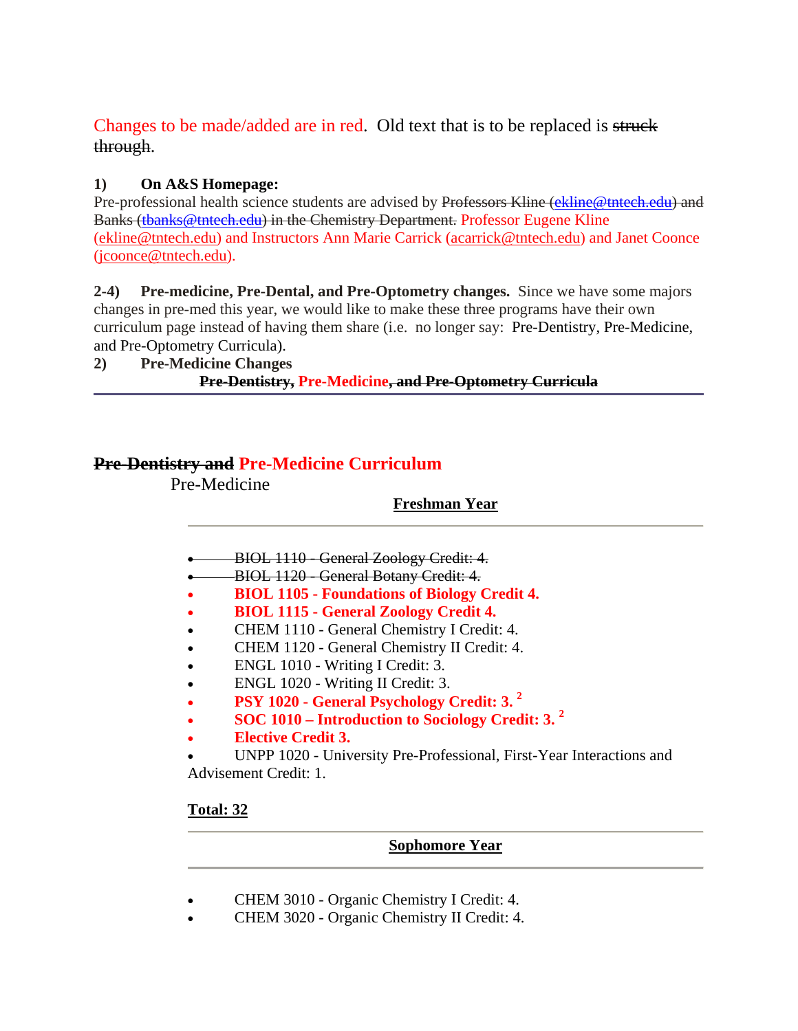## Changes to be made/added are in red. Old text that is to be replaced is struck through.

## **1) On A&S Homepage:**

Pre-professional health science students are advised by Professors Kline (ekline@tntech.edu) and Banks (tbanks@tntech.edu) in the Chemistry Department. Professor Eugene Kline (ekline@tntech.edu) and Instructors Ann Marie Carrick (acarrick@tntech.edu) and Janet Coonce (jcoonce@tntech.edu).

**2-4) Pre-medicine, Pre-Dental, and Pre-Optometry changes.** Since we have some majors changes in pre-med this year, we would like to make these three programs have their own curriculum page instead of having them share (i.e. no longer say: Pre-Dentistry, Pre-Medicine, and Pre-Optometry Curricula).

**2) Pre-Medicine Changes Pre-Dentistry, Pre-Medicine, and Pre-Optometry Curricula**

## **Pre-Dentistry and Pre-Medicine Curriculum**

Pre-Medicine

## **Freshman Year**

- BIOL 1110 General Zoology Credit: 4.
- BIOL 1120 General Botany Credit: 4.
- **BIOL 1105 Foundations of Biology Credit 4.**
- **BIOL 1115 General Zoology Credit 4.**
- CHEM 1110 General Chemistry I Credit: 4.
- CHEM 1120 General Chemistry II Credit: 4.
- ENGL 1010 Writing I Credit: 3.
- ENGL 1020 Writing II Credit: 3.
- **PSY 1020 General Psychology Credit: 3. 2**
- **SOC 1010 Introduction to Sociology Credit: 3. <sup>2</sup>**
- **Elective Credit 3.**

• UNPP 1020 - University Pre-Professional, First-Year Interactions and Advisement Credit: 1.

## **Total: 32**

**Sophomore Year**

- CHEM 3010 Organic Chemistry I Credit: 4.
- CHEM 3020 Organic Chemistry II Credit: 4.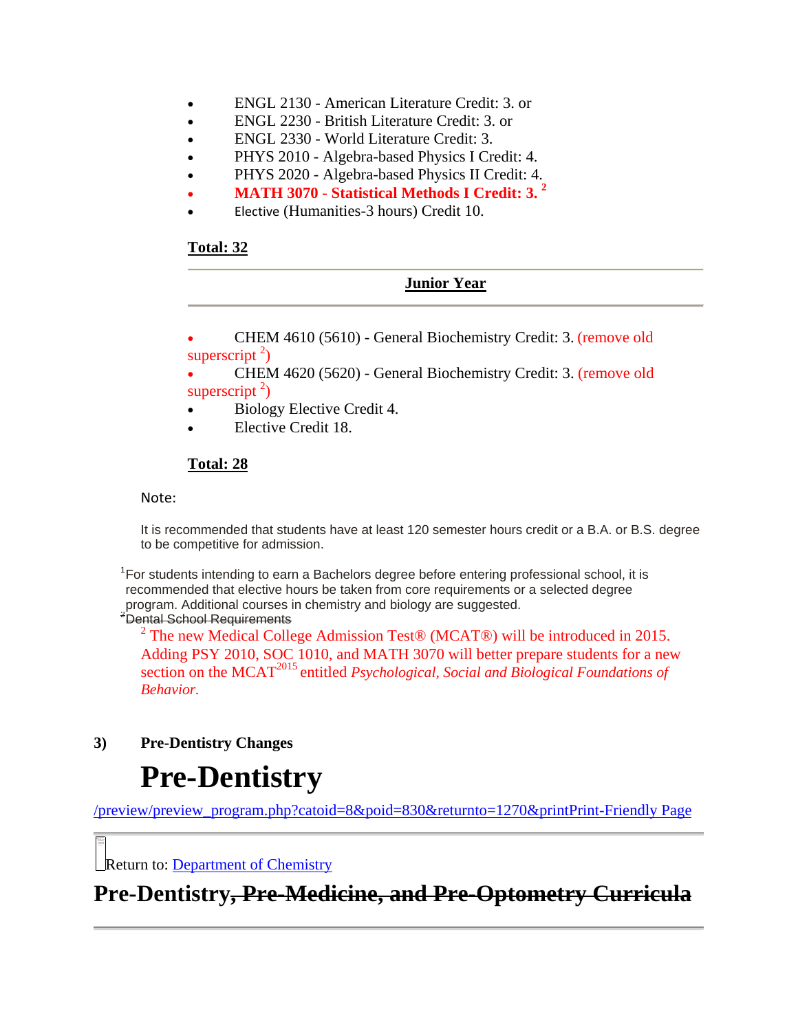- ENGL 2130 American Literature Credit: 3. or
- ENGL 2230 British Literature Credit: 3. or
- ENGL 2330 World Literature Credit: 3.
- PHYS 2010 Algebra-based Physics I Credit: 4.
- PHYS 2020 Algebra-based Physics II Credit: 4.
- **MATH 3070 Statistical Methods I Credit: 3. 2**
- Elective (Humanities-3 hours) Credit 10.

### **Total: 32**

## **Junior Year** • CHEM 4610 (5610) - General Biochemistry Credit: 3. (remove old superscript  $2$ ) • CHEM 4620 (5620) - General Biochemistry Credit: 3. (remove old superscript  $2$ ) • Biology Elective Credit 4. • Elective Credit 18.

## **Total: 28**

Note:

It is recommended that students have at least 120 semester hours credit or a B.A. or B.S. degree to be competitive for admission.

<sup>1</sup> For students intending to earn a Bachelors degree before entering professional school, it is recommended that elective hours be taken from core requirements or a selected degree program. Additional courses in chemistry and biology are suggested.

<sup>2</sup>Dental School Requirements

<sup>2</sup> The new Medical College Admission Test® (MCAT®) will be introduced in 2015. Adding PSY 2010, SOC 1010, and MATH 3070 will better prepare students for a new section on the MCAT<sup>2015</sup> entitled *Psychological, Social and Biological Foundations of Behavior.*

**3) Pre-Dentistry Changes** 

or deleted. Verify that the link points

# **Pre-Dentistry**

/preview/preview\_program.php?catoid=8&poid=830&returnto=1270&printPrint-Friendly Page

Return to: Department of Chemistry

**Pre-Dentistry, Pre-Medicine, and Pre-Optometry Curricula**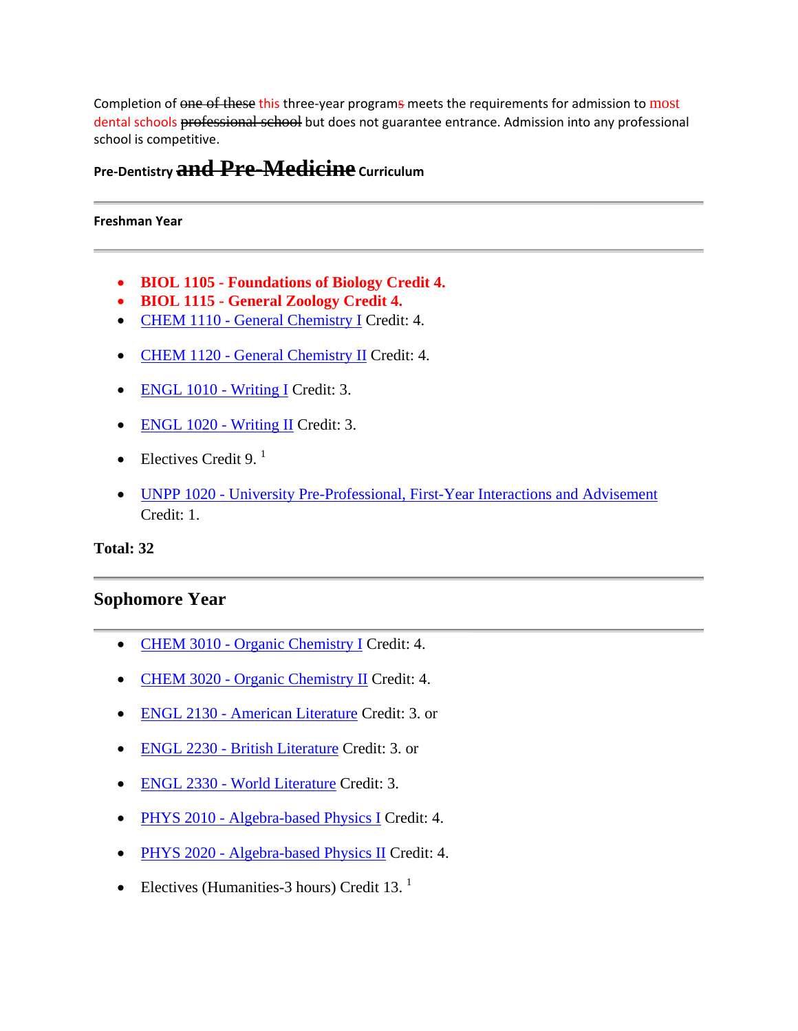Completion of one of these this three-year programs meets the requirements for admission to most dental schools professional school but does not guarantee entrance. Admission into any professional school is competitive.

## **Pre‐Dentistry and Pre-Medicine Curriculum**

### **Freshman Year**

- **BIOL 1105 Foundations of Biology Credit 4.**
- **BIOL 1115 General Zoology Credit 4.**
- CHEM 1110 General Chemistry I Credit: 4.
- CHEM 1120 General Chemistry II Credit: 4.
- ENGL 1010 Writing I Credit: 3.
- ENGL 1020 Writing II Credit: 3.
- Electives Credit 9. $^1$
- UNPP 1020 University Pre-Professional, First-Year Interactions and Advisement Credit: 1.

**Total: 32** 

### **Sophomore Year**

- CHEM 3010 Organic Chemistry I Credit: 4.
- CHEM 3020 Organic Chemistry II Credit: 4.
- ENGL 2130 American Literature Credit: 3. or
- ENGL 2230 British Literature Credit: 3. or
- ENGL 2330 World Literature Credit: 3.
- PHYS 2010 Algebra-based Physics I Credit: 4.
- PHYS 2020 Algebra-based Physics II Credit: 4.
- Electives (Humanities-3 hours) Credit 13. $<sup>1</sup>$ </sup>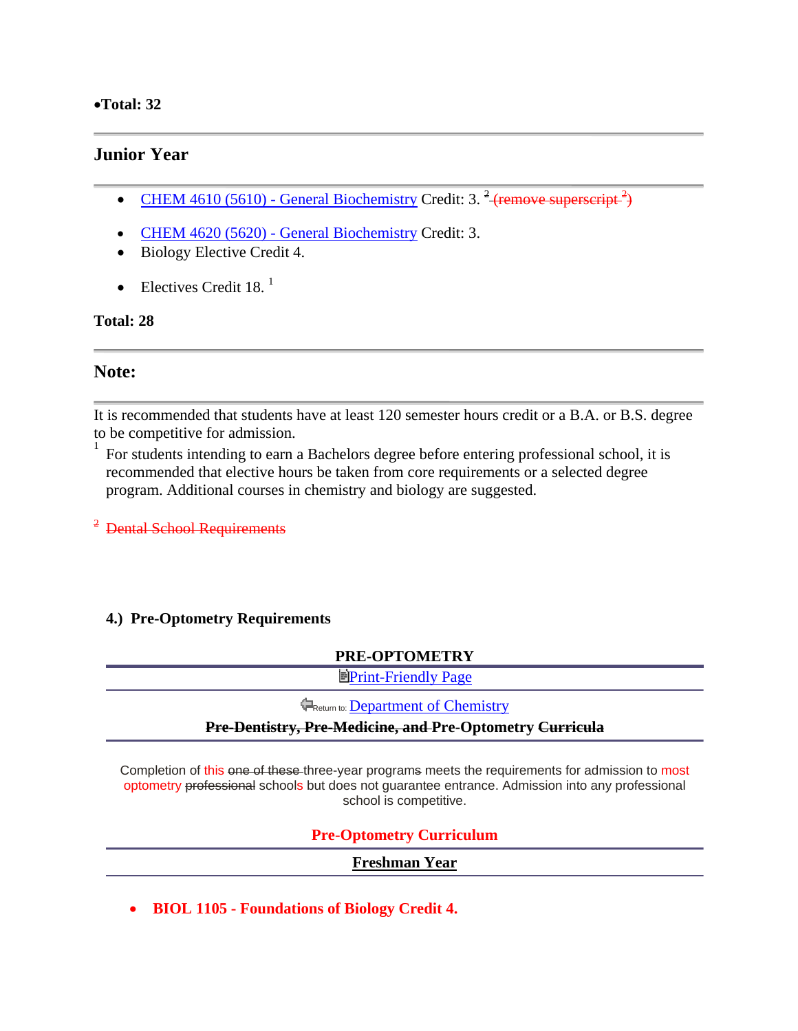### •**Total: 32**

## **Junior Year**

- CHEM 4610 (5610) General Biochemistry Credit: 3.  $\frac{2}{3}$  (remove superscript  $\frac{2}{3}$ )
- CHEM 4620 (5620) General Biochemistry Credit: 3.
- Biology Elective Credit 4.
- Electives Credit  $18<sup>-1</sup>$

### **Total: 28**

## **Note:**

It is recommended that students have at least 120 semester hours credit or a B.A. or B.S. degree to be competitive for admission.

<sup>1</sup> For students intending to earn a Bachelors degree before entering professional school, it is recommended that elective hours be taken from core requirements or a selected degree program. Additional courses in chemistry and biology are suggested.

<sup>2</sup> Dental School Requirements

## **4.) Pre-Optometry Requirements**

### **PRE-OPTOMETRY**

**EPrint-Friendly Page** 

**FReturn to: Department of Chemistry** 

### **Pre-Dentistry, Pre-Medicine, and Pre-Optometry Curricula**

Completion of this one of these three-year programs meets the requirements for admission to most optometry professional schools but does not guarantee entrance. Admission into any professional school is competitive.

## **Pre-Optometry Curriculum**

### **Freshman Year**

• **BIOL 1105 - Foundations of Biology Credit 4.**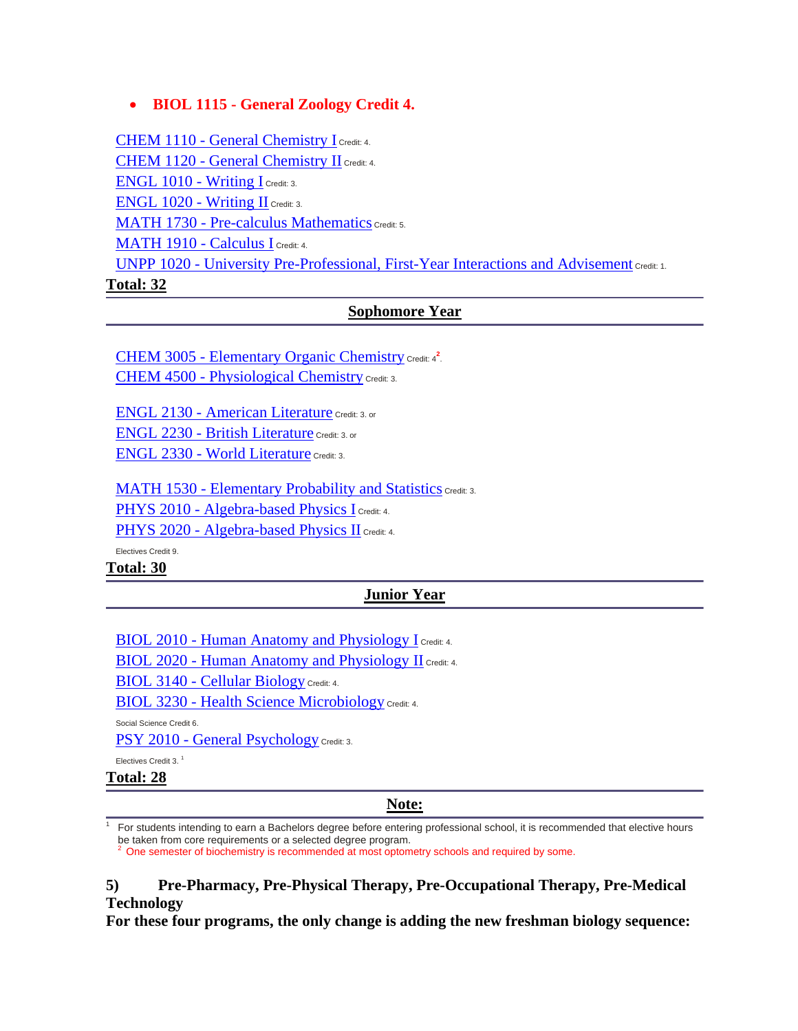## • **BIOL 1115 - General Zoology Credit 4.**

CHEM 1110 - General Chemistry I Credit: 4. CHEM 1120 - General Chemistry II Credit: 4. ENGL 1010 - Writing I Credit: 3. ENGL 1020 - Writing II Credit: 3. MATH 1730 - Pre-calculus Mathematics Credit: 5. MATH 1910 - Calculus I Credit: 4. UNPP 1020 - University Pre-Professional, First-Year Interactions and Advisement Credit: 1. **Total: 32**

## **Sophomore Year**

CHEM 3005 - Elementary Organic Chemistry Credit: 4<sup>2</sup>. CHEM 4500 - Physiological Chemistry Credit: 3.

ENGL 2130 - American Literature Credit: 3. or ENGL 2230 - British Literature Credit: 3. or ENGL 2330 - World Literature Credit: 3.

MATH 1530 - Elementary Probability and Statistics Credit: 3. PHYS 2010 - Algebra-based Physics I Credit: 4. PHYS 2020 - Algebra-based Physics II Credit: 4.

Electives Credit 9.

**Total: 30**

### **Junior Year**

BIOL 2010 - Human Anatomy and Physiology I Credit: 4.

BIOL 2020 - Human Anatomy and Physiology II Credit: 4.

BIOL 3140 - Cellular Biology Credit: 4.

BIOL 3230 - Health Science Microbiology Credit: 4.

Social Science Credit 6.

PSY 2010 - General Psychology Credit: 3.

Electives Credit 3. <sup>1</sup>

**Total: 28**

1

### **Note:**

 For students intending to earn a Bachelors degree before entering professional school, it is recommended that elective hours be taken from core requirements or a selected degree program.

2 One semester of biochemistry is recommended at most optometry schools and required by some.

### **5) Pre-Pharmacy, Pre-Physical Therapy, Pre-Occupational Therapy, Pre-Medical Technology**

**For these four programs, the only change is adding the new freshman biology sequence:**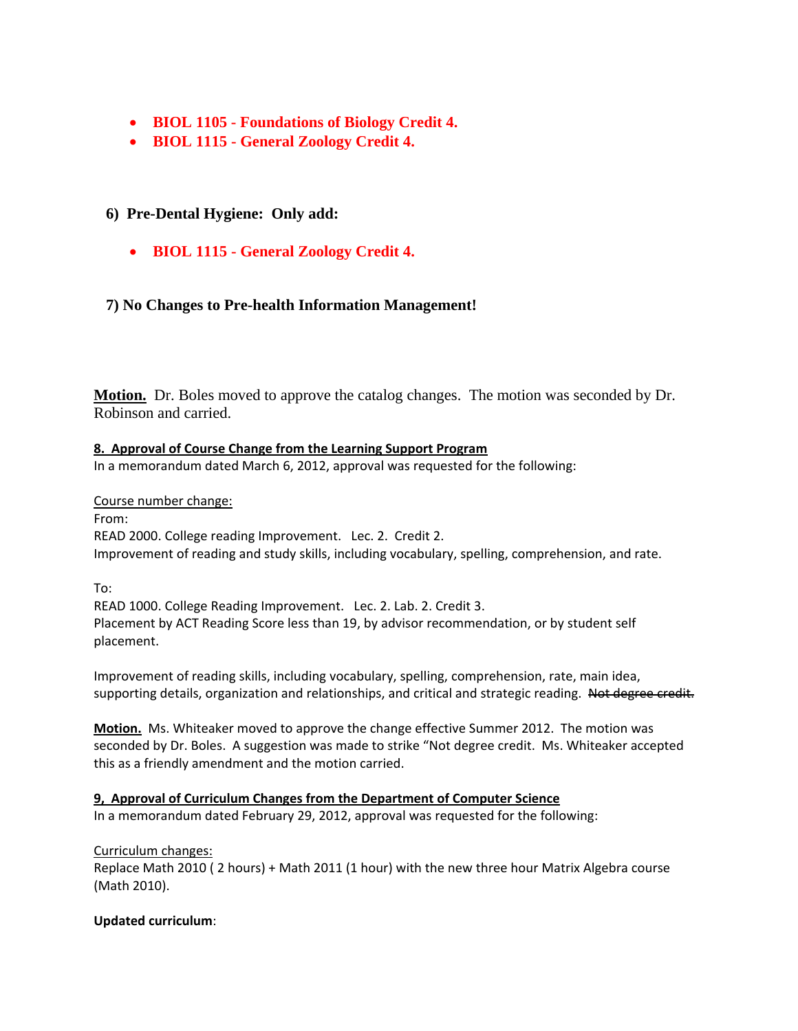- **BIOL 1105 Foundations of Biology Credit 4.**
- **BIOL 1115 General Zoology Credit 4.**

## **6) Pre-Dental Hygiene: Only add:**

• **BIOL 1115 - General Zoology Credit 4.** 

### **7) No Changes to Pre-health Information Management!**

**Motion.** Dr. Boles moved to approve the catalog changes. The motion was seconded by Dr. Robinson and carried.

### **8. Approval of Course Change from the Learning Support Program**

In a memorandum dated March 6, 2012, approval was requested for the following:

### Course number change:

From:

READ 2000. College reading Improvement. Lec. 2. Credit 2. Improvement of reading and study skills, including vocabulary, spelling, comprehension, and rate.

To:

READ 1000. College Reading Improvement. Lec. 2. Lab. 2. Credit 3. Placement by ACT Reading Score less than 19, by advisor recommendation, or by student self placement.

Improvement of reading skills, including vocabulary, spelling, comprehension, rate, main idea, supporting details, organization and relationships, and critical and strategic reading. Not degree credit.

**Motion.** Ms. Whiteaker moved to approve the change effective Summer 2012. The motion was seconded by Dr. Boles. A suggestion was made to strike "Not degree credit. Ms. Whiteaker accepted this as a friendly amendment and the motion carried.

## **9, Approval of Curriculum Changes from the Department of Computer Science**

In a memorandum dated February 29, 2012, approval was requested for the following:

### Curriculum changes:

Replace Math 2010 ( 2 hours) + Math 2011 (1 hour) with the new three hour Matrix Algebra course (Math 2010).

### **Updated curriculum**: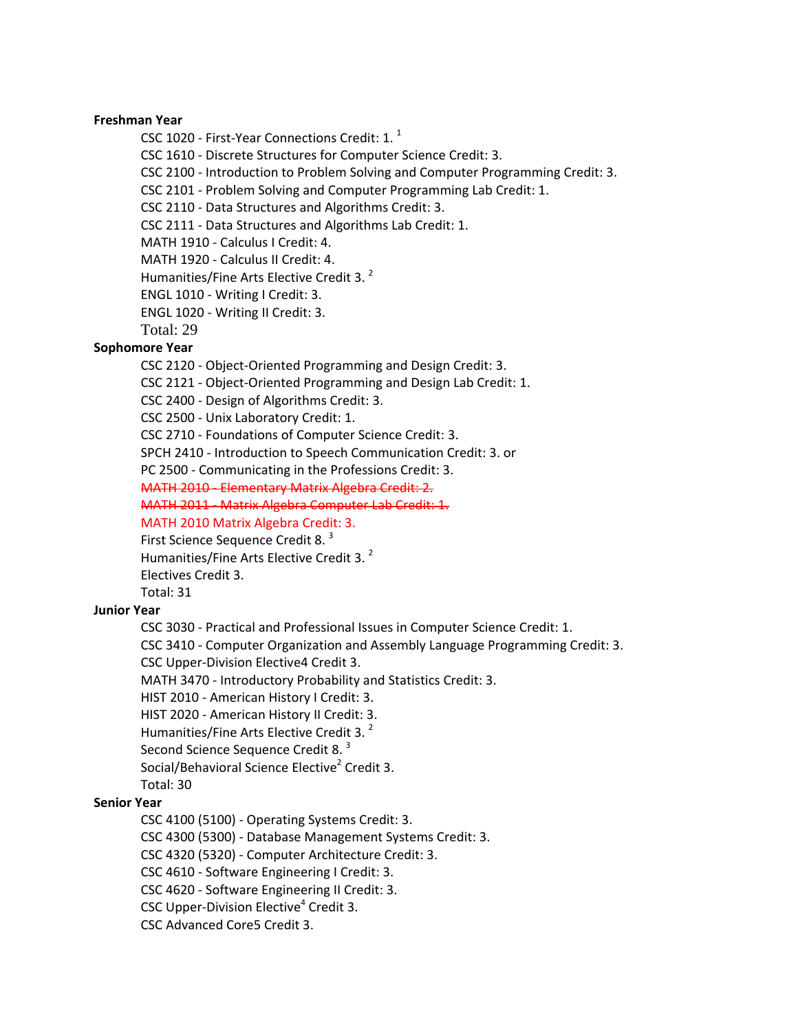### **Freshman Year**

CSC 1020 - First-Year Connections Credit: 1.<sup>1</sup>

CSC 1610 ‐ Discrete Structures for Computer Science Credit: 3.

CSC 2100 ‐ Introduction to Problem Solving and Computer Programming Credit: 3.

CSC 2101 ‐ Problem Solving and Computer Programming Lab Credit: 1.

CSC 2110 ‐ Data Structures and Algorithms Credit: 3.

CSC 2111 ‐ Data Structures and Algorithms Lab Credit: 1.

MATH 1910 ‐ Calculus I Credit: 4.

MATH 1920 ‐ Calculus II Credit: 4.

Humanities/Fine Arts Elective Credit 3.<sup>2</sup>

ENGL 1010 ‐ Writing I Credit: 3.

ENGL 1020 ‐ Writing II Credit: 3.

Total: 29

### **Sophomore Year**

CSC 2120 ‐ Object‐Oriented Programming and Design Credit: 3.

CSC 2121 ‐ Object‐Oriented Programming and Design Lab Credit: 1.

CSC 2400 ‐ Design of Algorithms Credit: 3.

CSC 2500 ‐ Unix Laboratory Credit: 1.

CSC 2710 ‐ Foundations of Computer Science Credit: 3.

SPCH 2410 ‐ Introduction to Speech Communication Credit: 3. or

PC 2500 ‐ Communicating in the Professions Credit: 3.

MATH 2010 ‐ Elementary Matrix Algebra Credit: 2.

MATH 2011 ‐ Matrix Algebra Computer Lab Credit: 1.

MATH 2010 Matrix Algebra Credit: 3.

First Science Sequence Credit 8.<sup>3</sup>

Humanities/Fine Arts Elective Credit 3.<sup>2</sup>

Electives Credit 3.

Total: 31

### **Junior Year**

CSC 3030 ‐ Practical and Professional Issues in Computer Science Credit: 1.

CSC 3410 ‐ Computer Organization and Assembly Language Programming Credit: 3.

CSC Upper‐Division Elective4 Credit 3.

MATH 3470 ‐ Introductory Probability and Statistics Credit: 3.

HIST 2010 ‐ American History I Credit: 3.

HIST 2020 ‐ American History II Credit: 3.

Humanities/Fine Arts Elective Credit 3.<sup>2</sup>

Second Science Sequence Credit 8.<sup>3</sup>

Social/Behavioral Science Elective<sup>2</sup> Credit 3.

Total: 30

### **Senior Year**

CSC 4100 (5100) ‐ Operating Systems Credit: 3.

CSC 4300 (5300) ‐ Database Management Systems Credit: 3.

CSC 4320 (5320) ‐ Computer Architecture Credit: 3.

CSC 4610 ‐ Software Engineering I Credit: 3.

CSC 4620 ‐ Software Engineering II Credit: 3.

CSC Upper-Division Elective<sup>4</sup> Credit 3.

CSC Advanced Core5 Credit 3.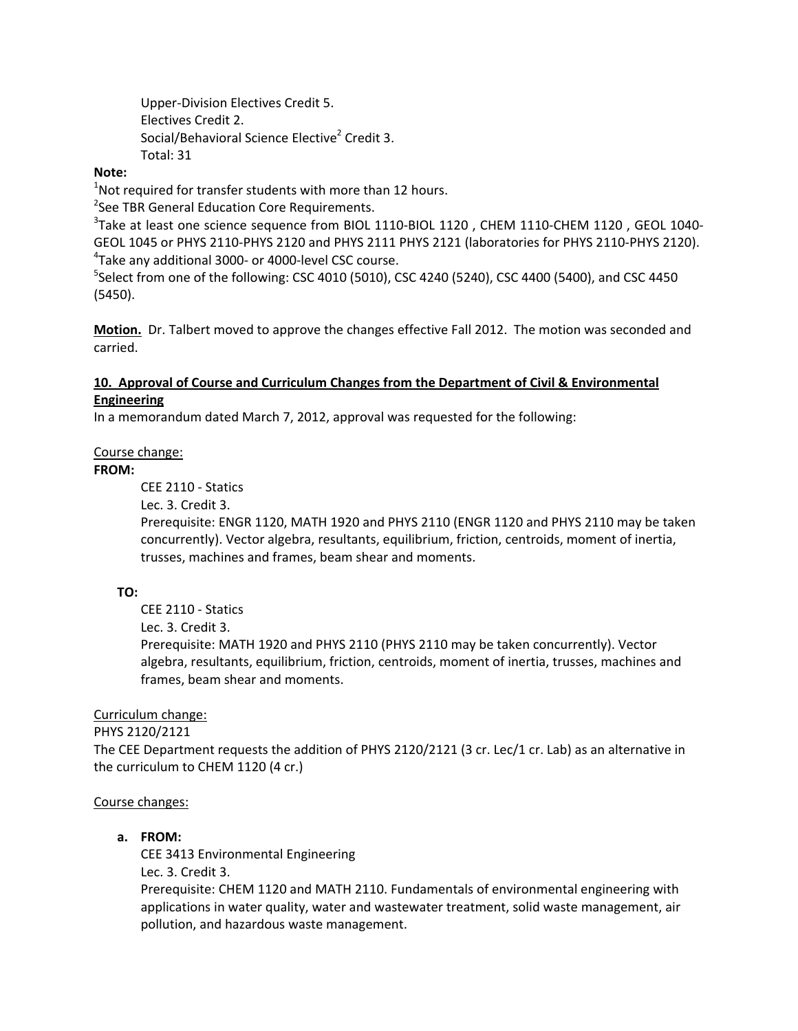Upper‐Division Electives Credit 5. Electives Credit 2. Social/Behavioral Science Elective<sup>2</sup> Credit 3. Total: 31

### **Note:**

 $1$ Not required for transfer students with more than 12 hours.

<sup>2</sup>See TBR General Education Core Requirements.

 ${}^{3}$ Take at least one science sequence from BIOL 1110-BIOL 1120 , CHEM 1110-CHEM 1120 , GEOL 1040-GEOL 1045 or PHYS 2110‐PHYS 2120 and PHYS 2111 PHYS 2121 (laboratories for PHYS 2110‐PHYS 2120). 4 Take any additional 3000‐ or 4000‐level CSC course.

<sup>5</sup>Select from one of the following: CSC 4010 (5010), CSC 4240 (5240), CSC 4400 (5400), and CSC 4450 (5450).

**Motion.** Dr. Talbert moved to approve the changes effective Fall 2012. The motion was seconded and carried.

### **10. Approval of Course and Curriculum Changes from the Department of Civil & Environmental Engineering**

In a memorandum dated March 7, 2012, approval was requested for the following:

### Course change:

### **FROM:**

CEE 2110 ‐ Statics

Lec. 3. Credit 3.

Prerequisite: ENGR 1120, MATH 1920 and PHYS 2110 (ENGR 1120 and PHYS 2110 may be taken concurrently). Vector algebra, resultants, equilibrium, friction, centroids, moment of inertia, trusses, machines and frames, beam shear and moments.

### **TO:**

CEE 2110 ‐ Statics

Lec. 3. Credit 3.

Prerequisite: MATH 1920 and PHYS 2110 (PHYS 2110 may be taken concurrently). Vector algebra, resultants, equilibrium, friction, centroids, moment of inertia, trusses, machines and frames, beam shear and moments.

### Curriculum change:

PHYS 2120/2121

The CEE Department requests the addition of PHYS 2120/2121 (3 cr. Lec/1 cr. Lab) as an alternative in the curriculum to CHEM 1120 (4 cr.)

### Course changes:

### **a. FROM:**

CEE 3413 Environmental Engineering

Lec. 3. Credit 3.

Prerequisite: CHEM 1120 and MATH 2110. Fundamentals of environmental engineering with applications in water quality, water and wastewater treatment, solid waste management, air pollution, and hazardous waste management.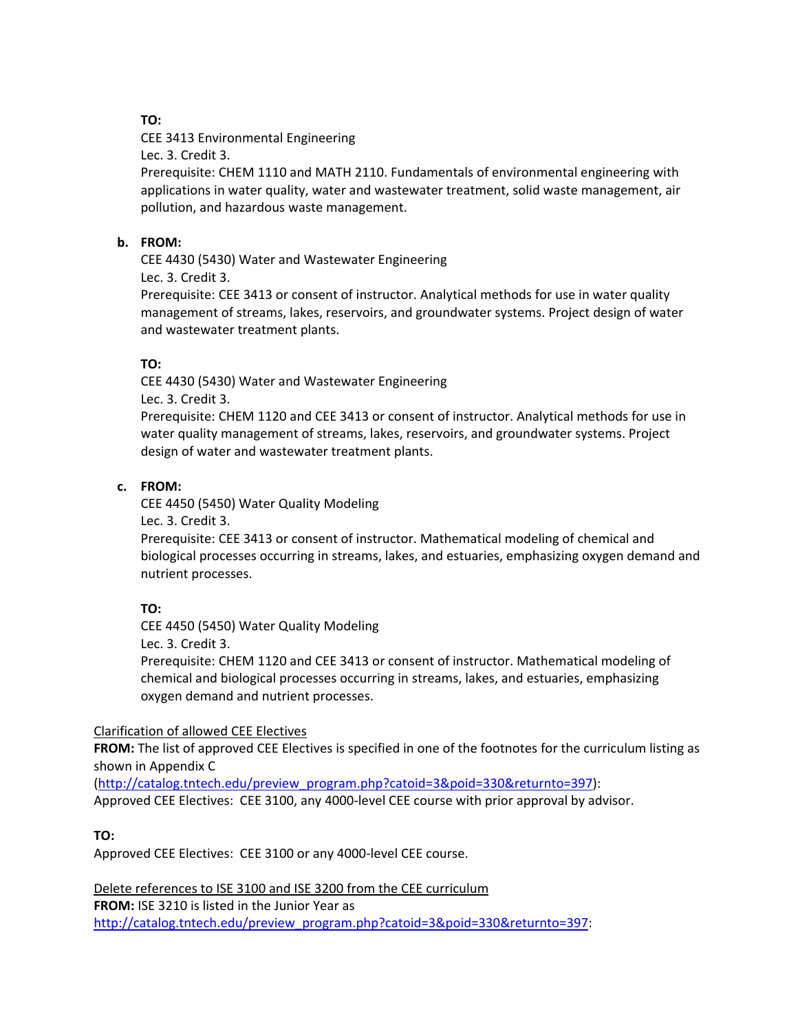### **TO:**

CEE 3413 Environmental Engineering Lec. 3. Credit 3.

Prerequisite: CHEM 1110 and MATH 2110. Fundamentals of environmental engineering with applications in water quality, water and wastewater treatment, solid waste management, air pollution, and hazardous waste management.

### **b. FROM:**

CEE 4430 (5430) Water and Wastewater Engineering Lec. 3. Credit 3.

Prerequisite: CEE 3413 or consent of instructor. Analytical methods for use in water quality management of streams, lakes, reservoirs, and groundwater systems. Project design of water and wastewater treatment plants.

## **TO:**

CEE 4430 (5430) Water and Wastewater Engineering Lec. 3. Credit 3.

Prerequisite: CHEM 1120 and CEE 3413 or consent of instructor. Analytical methods for use in water quality management of streams, lakes, reservoirs, and groundwater systems. Project design of water and wastewater treatment plants.

### **c. FROM:**

CEE 4450 (5450) Water Quality Modeling Lec. 3. Credit 3.

Prerequisite: CEE 3413 or consent of instructor. Mathematical modeling of chemical and biological processes occurring in streams, lakes, and estuaries, emphasizing oxygen demand and nutrient processes.

### **TO:**

CEE 4450 (5450) Water Quality Modeling

Lec. 3. Credit 3.

Prerequisite: CHEM 1120 and CEE 3413 or consent of instructor. Mathematical modeling of chemical and biological processes occurring in streams, lakes, and estuaries, emphasizing oxygen demand and nutrient processes.

### Clarification of allowed CEE Electives

**FROM:** The list of approved CEE Electives is specified in one of the footnotes for the curriculum listing as shown in Appendix C

(http://catalog.tntech.edu/preview\_program.php?catoid=3&poid=330&returnto=397): Approved CEE Electives: CEE 3100, any 4000-level CEE course with prior approval by advisor.

### **TO:**

Approved CEE Electives: CEE 3100 or any 4000‐level CEE course.

Delete references to ISE 3100 and ISE 3200 from the CEE curriculum **FROM:** ISE 3210 is listed in the Junior Year as http://catalog.tntech.edu/preview\_program.php?catoid=3&poid=330&returnto=397: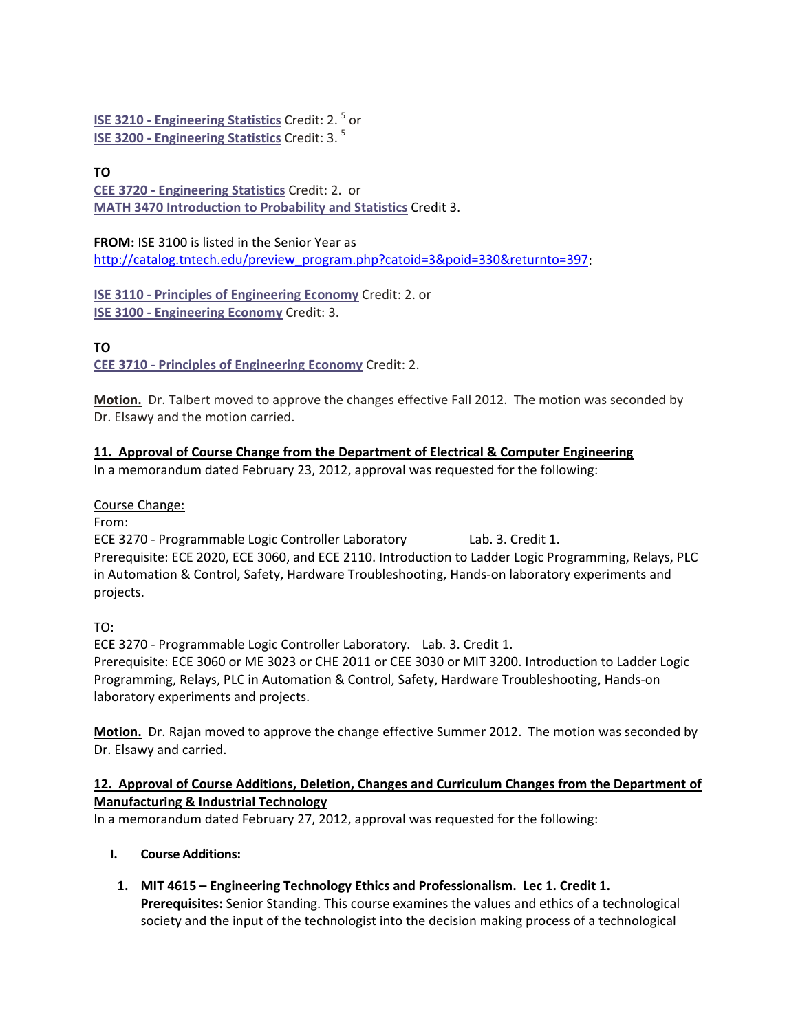**ISE 3210 ‐ Engineering Statistics** Credit: 2. <sup>5</sup> or **ISE 3200 ‐ Engineering Statistics** Credit: 3. <sup>5</sup>

## **TO**

**CEE 3720 ‐ Engineering Statistics** Credit: 2. or **MATH 3470 Introduction to Probability and Statistics** Credit 3.

**FROM:** ISE 3100 is listed in the Senior Year as http://catalog.tntech.edu/preview\_program.php?catoid=3&poid=330&returnto=397:

**ISE 3110 ‐ Principles of Engineering Economy** Credit: 2. or **ISE 3100 ‐ Engineering Economy** Credit: 3.

## **TO**

**CEE 3710 ‐ Principles of Engineering Economy** Credit: 2.

**Motion.** Dr. Talbert moved to approve the changes effective Fall 2012. The motion was seconded by Dr. Elsawy and the motion carried.

## **11. Approval of Course Change from the Department of Electrical & Computer Engineering**

In a memorandum dated February 23, 2012, approval was requested for the following:

Course Change:

From:

ECE 3270 ‐ Programmable Logic Controller Laboratory Lab. 3. Credit 1. Prerequisite: ECE 2020, ECE 3060, and ECE 2110. Introduction to Ladder Logic Programming, Relays, PLC in Automation & Control, Safety, Hardware Troubleshooting, Hands-on laboratory experiments and projects.

TO:

ECE 3270 ‐ Programmable Logic Controller Laboratory. Lab. 3. Credit 1. Prerequisite: ECE 3060 or ME 3023 or CHE 2011 or CEE 3030 or MIT 3200. Introduction to Ladder Logic Programming, Relays, PLC in Automation & Control, Safety, Hardware Troubleshooting, Hands‐on laboratory experiments and projects.

**Motion.** Dr. Rajan moved to approve the change effective Summer 2012. The motion was seconded by Dr. Elsawy and carried.

### **12. Approval of Course Additions, Deletion, Changes and Curriculum Changes from the Department of Manufacturing & Industrial Technology**

In a memorandum dated February 27, 2012, approval was requested for the following:

- **I. Course Additions:** 
	- **1. MIT 4615 – Engineering Technology Ethics and Professionalism. Lec 1. Credit 1. Prerequisites:** Senior Standing. This course examines the values and ethics of a technological society and the input of the technologist into the decision making process of a technological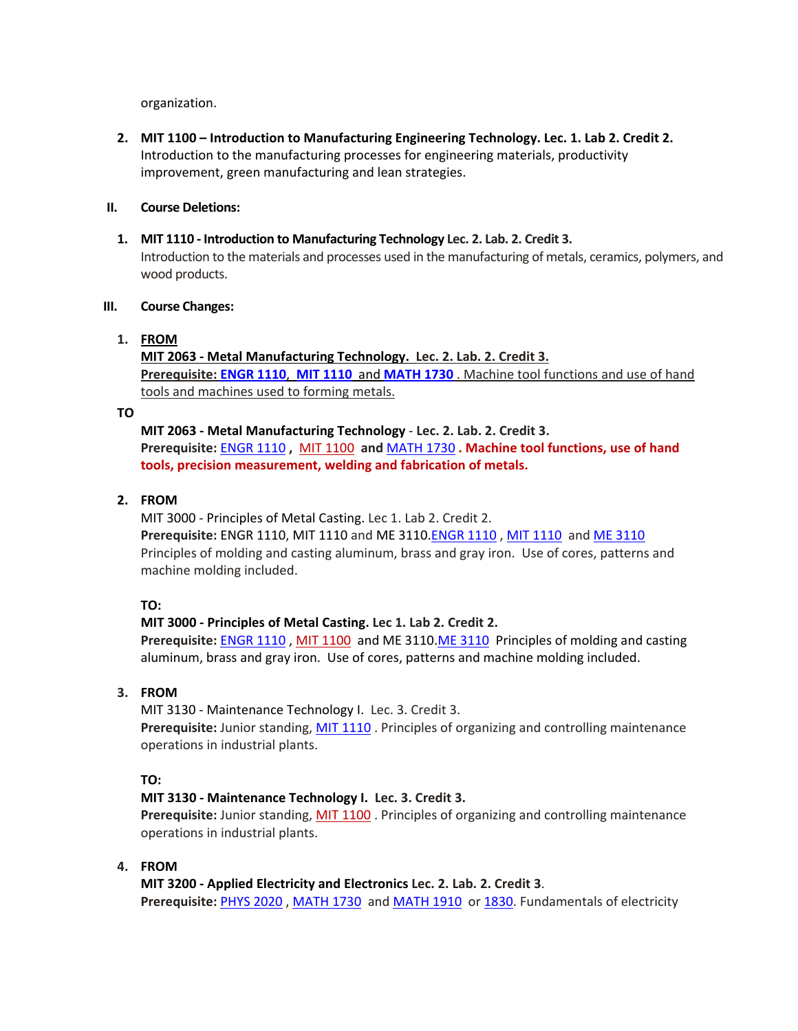organization.

**2. MIT 1100 – Introduction to Manufacturing Engineering Technology. Lec. 1. Lab 2. Credit 2.** Introduction to the manufacturing processes for engineering materials, productivity improvement, green manufacturing and lean strategies.

### **II. Course Deletions:**

**1. MIT 1110 ‐ Introduction to Manufacturing Technology Lec. 2. Lab. 2. Credit 3.** Introduction to the materials and processes used in the manufacturing of metals, ceramics, polymers, and wood products.

### **III. Course Changes:**

### **1. FROM**

**MIT 2063 ‐ Metal Manufacturing Technology. Lec. 2. Lab. 2. Credit 3. Prerequisite: ENGR 1110**, **MIT 1110** and **MATH 1730** . Machine tool functions and use of hand tools and machines used to forming metals.

### **TO**

**MIT 2063 ‐ Metal Manufacturing Technology** ‐ **Lec. 2. Lab. 2. Credit 3. Prerequisite:** ENGR 1110 **,** MIT 1100 **and** MATH 1730 **. Machine tool functions, use of hand tools, precision measurement, welding and fabrication of metals.**

### **2. FROM**

MIT 3000 ‐ Principles of Metal Casting. Lec 1. Lab 2. Credit 2. **Prerequisite:** ENGR 1110, MIT 1110 and ME 3110.ENGR 1110 , MIT 1110 and ME 3110 Principles of molding and casting aluminum, brass and gray iron. Use of cores, patterns and machine molding included.

### **TO:**

### **MIT 3000 ‐ Principles of Metal Casting. Lec 1. Lab 2. Credit 2.**

**Prerequisite:** ENGR 1110 , MIT 1100 and ME 3110.ME 3110 Principles of molding and casting aluminum, brass and gray iron. Use of cores, patterns and machine molding included.

### **3. FROM**

MIT 3130 ‐ Maintenance Technology I. Lec. 3. Credit 3. **Prerequisite:** Junior standing, MIT 1110 . Principles of organizing and controlling maintenance operations in industrial plants.

### **TO:**

### **MIT 3130 ‐ Maintenance Technology I. Lec. 3. Credit 3.**

**Prerequisite:** Junior standing, MIT 1100 . Principles of organizing and controlling maintenance operations in industrial plants.

### **4. FROM**

**MIT 3200 ‐ Applied Electricity and Electronics Lec. 2. Lab. 2. Credit 3**. **Prerequisite:** PHYS 2020 , MATH 1730 and MATH 1910 or 1830. Fundamentals of electricity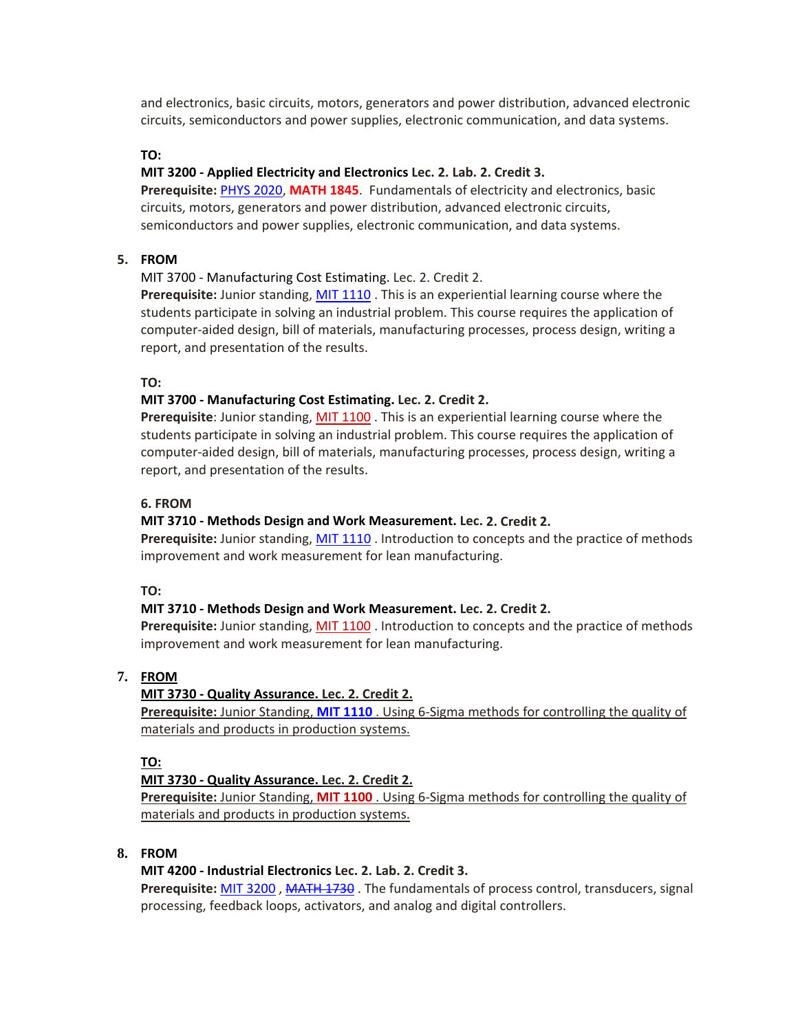and electronics, basic circuits, motors, generators and power distribution, advanced electronic circuits, semiconductors and power supplies, electronic communication, and data systems.

### **TO:**

### **MIT 3200 ‐ Applied Electricity and Electronics Lec. 2. Lab. 2. Credit 3.**

**Prerequisite:** PHYS 2020, **MATH 1845**. Fundamentals of electricity and electronics, basic circuits, motors, generators and power distribution, advanced electronic circuits, semiconductors and power supplies, electronic communication, and data systems.

### **5. FROM**

MIT 3700 ‐ Manufacturing Cost Estimating. Lec. 2. Credit 2.

**Prerequisite:** Junior standing, MIT 1110 . This is an experiential learning course where the students participate in solving an industrial problem. This course requires the application of computer‐aided design, bill of materials, manufacturing processes, process design, writing a report, and presentation of the results.

#### **TO:**

### **MIT 3700 ‐ Manufacturing Cost Estimating. Lec. 2. Credit 2.**

**Prerequisite**: Junior standing, MIT 1100 . This is an experiential learning course where the students participate in solving an industrial problem. This course requires the application of computer‐aided design, bill of materials, manufacturing processes, process design, writing a report, and presentation of the results.

### **6. FROM**

### **MIT 3710 ‐ Methods Design and Work Measurement. Lec. 2. Credit 2.**

**Prerequisite:** Junior standing, MIT 1110 . Introduction to concepts and the practice of methods improvement and work measurement for lean manufacturing.

#### **TO:**

### **MIT 3710 ‐ Methods Design and Work Measurement. Lec. 2. Credit 2.**

**Prerequisite:** Junior standing, MIT 1100 . Introduction to concepts and the practice of methods improvement and work measurement for lean manufacturing.

### **7. FROM**

### **MIT 3730 ‐ Quality Assurance. Lec. 2. Credit 2.**

**Prerequisite:** Junior Standing, **MIT 1110** . Using 6‐Sigma methods for controlling the quality of materials and products in production systems.

#### **TO:**

### **MIT 3730 ‐ Quality Assurance. Lec. 2. Credit 2.**

**Prerequisite:** Junior Standing, **MIT 1100** . Using 6‐Sigma methods for controlling the quality of materials and products in production systems.

### **8. FROM**

#### **MIT 4200 ‐ Industrial Electronics Lec. 2. Lab. 2. Credit 3.**

**Prerequisite:** MIT 3200 , MATH 1730 . The fundamentals of process control, transducers, signal processing, feedback loops, activators, and analog and digital controllers.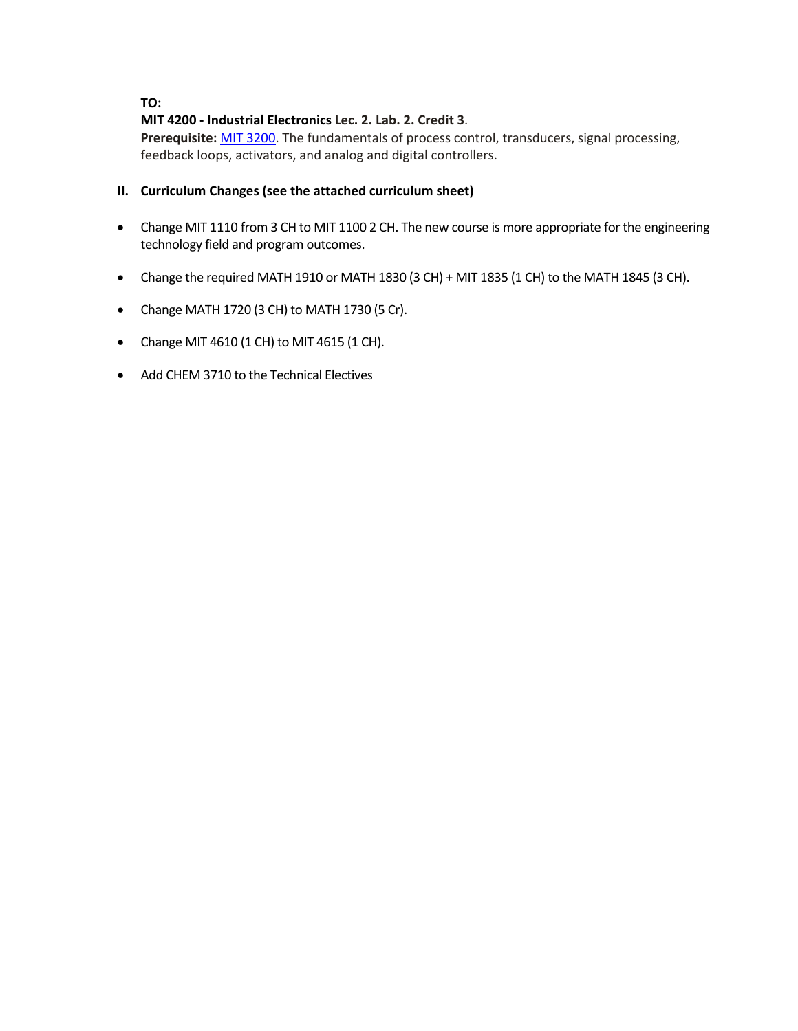### **TO:**

### **MIT 4200 ‐ Industrial Electronics Lec. 2. Lab. 2. Credit 3**.

**Prerequisite:** MIT 3200. The fundamentals of process control, transducers, signal processing, feedback loops, activators, and analog and digital controllers.

### **II. Curriculum Changes (see the attached curriculum sheet)**

- Change MIT 1110 from 3 CH to MIT 1100 2 CH. The new course is more appropriate for the engineering technology field and program outcomes.
- Change the required MATH 1910 or MATH 1830 (3 CH) + MIT 1835 (1 CH) to the MATH 1845 (3 CH).
- Change MATH 1720 (3 CH) to MATH 1730 (5 Cr).
- Change MIT 4610 (1 CH) to MIT 4615 (1 CH).
- Add CHEM 3710 to the Technical Electives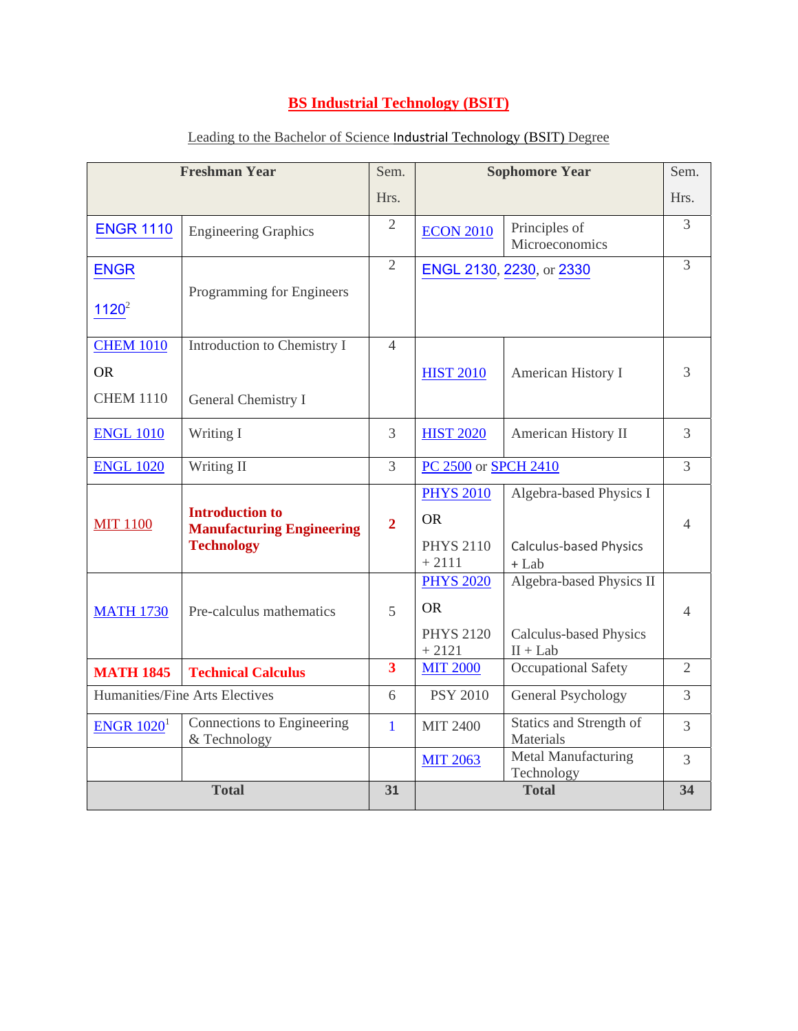## **BS Industrial Technology (BSIT)**

| <b>Freshman Year</b>           |                                                                                 | Sem.                    | <b>Sophomore Year</b>       |                                             | Sem.           |
|--------------------------------|---------------------------------------------------------------------------------|-------------------------|-----------------------------|---------------------------------------------|----------------|
|                                |                                                                                 | Hrs.                    |                             |                                             | Hrs.           |
| <b>ENGR 1110</b>               | <b>Engineering Graphics</b>                                                     | $\overline{2}$          | <b>ECON 2010</b>            | Principles of<br>Microeconomics             | 3              |
| <b>ENGR</b>                    |                                                                                 | $\overline{2}$          | ENGL 2130, 2230, or 2330    |                                             | 3              |
| $1120^2$                       | Programming for Engineers                                                       |                         |                             |                                             |                |
| <b>CHEM 1010</b>               | Introduction to Chemistry I                                                     | $\overline{4}$          |                             |                                             |                |
| <b>OR</b>                      |                                                                                 |                         | <b>HIST 2010</b>            | American History I                          | 3              |
| <b>CHEM 1110</b>               | General Chemistry I                                                             |                         |                             |                                             |                |
| <b>ENGL 1010</b>               | Writing I                                                                       | 3                       | <b>HIST 2020</b>            | American History II                         | $\overline{3}$ |
| <b>ENGL 1020</b>               | Writing II                                                                      | $\overline{3}$          | PC 2500 or SPCH 2410        |                                             | 3              |
| <b>MIT 1100</b>                | <b>Introduction to</b><br><b>Manufacturing Engineering</b><br><b>Technology</b> |                         | <b>PHYS 2010</b>            | Algebra-based Physics I                     |                |
|                                |                                                                                 | $\overline{2}$          | <b>OR</b>                   |                                             | $\overline{4}$ |
|                                |                                                                                 |                         | <b>PHYS 2110</b><br>$+2111$ | Calculus-based Physics<br>$+$ Lab           |                |
|                                |                                                                                 |                         | <b>PHYS 2020</b>            | Algebra-based Physics II                    |                |
| <b>MATH 1730</b>               | Pre-calculus mathematics                                                        | 5                       | <b>OR</b>                   |                                             | $\overline{4}$ |
|                                |                                                                                 |                         | <b>PHYS 2120</b><br>$+2121$ | <b>Calculus-based Physics</b><br>$II + Lab$ |                |
| <b>MATH 1845</b>               | <b>Technical Calculus</b>                                                       | $\overline{\mathbf{3}}$ | <b>MIT 2000</b>             | Occupational Safety                         | $\overline{2}$ |
| Humanities/Fine Arts Electives |                                                                                 | 6                       | <b>PSY 2010</b>             | General Psychology                          | $\overline{3}$ |
| $ENGR$ 1020 <sup>1</sup>       | Connections to Engineering<br>& Technology                                      | $\mathbf{1}$            | <b>MIT 2400</b>             | Statics and Strength of<br>Materials        | $\overline{3}$ |
|                                |                                                                                 |                         | <b>MIT 2063</b>             | Metal Manufacturing<br>Technology           | $\overline{3}$ |
| <b>Total</b>                   |                                                                                 | 31                      | <b>Total</b>                |                                             | 34             |

## Leading to the Bachelor of Science Industrial Technology (BSIT) Degree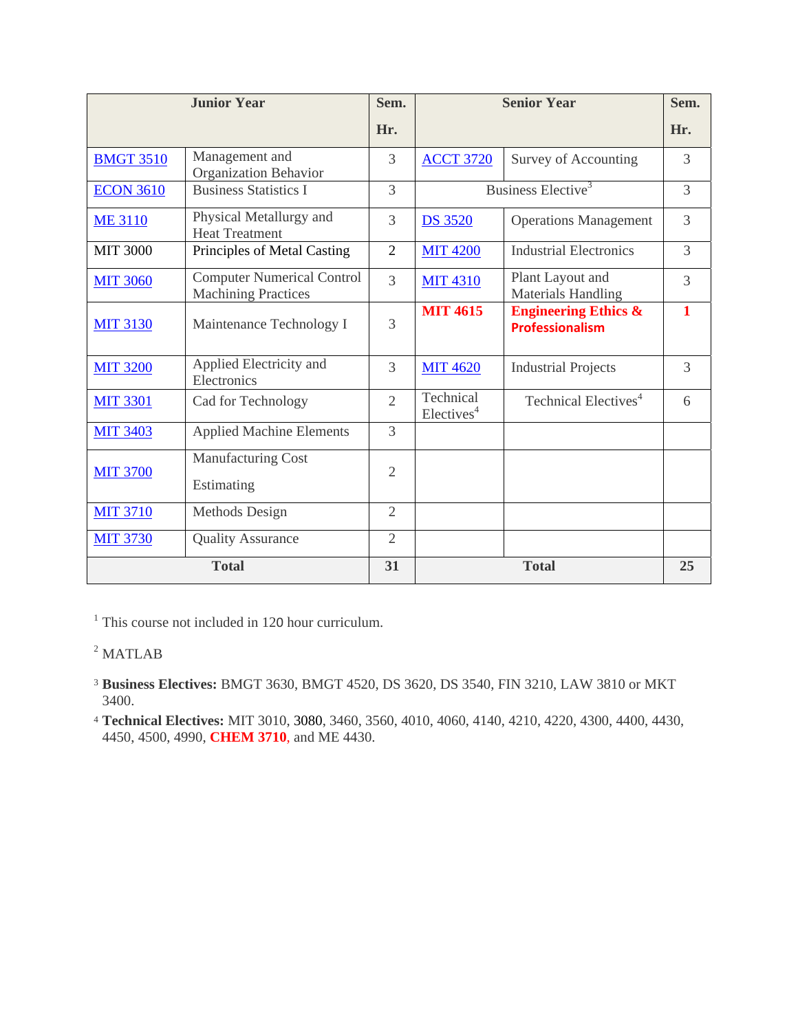| <b>Junior Year</b> |                                                                 | Sem.           | <b>Senior Year</b>                  |                                                           | Sem.           |
|--------------------|-----------------------------------------------------------------|----------------|-------------------------------------|-----------------------------------------------------------|----------------|
|                    |                                                                 | Hr.            |                                     |                                                           | Hr.            |
| <b>BMGT 3510</b>   | Management and<br>Organization Behavior                         | 3              | <b>ACCT 3720</b>                    | Survey of Accounting                                      | 3              |
| <b>ECON 3610</b>   | <b>Business Statistics I</b>                                    | $\overline{3}$ | Business Elective <sup>3</sup>      |                                                           | $\overline{3}$ |
| <b>ME 3110</b>     | Physical Metallurgy and<br><b>Heat Treatment</b>                | 3              | <b>DS 3520</b>                      | <b>Operations Management</b>                              | $\overline{3}$ |
| <b>MIT 3000</b>    | Principles of Metal Casting                                     | $\overline{2}$ | <b>MIT 4200</b>                     | <b>Industrial Electronics</b>                             | $\overline{3}$ |
| <b>MIT 3060</b>    | <b>Computer Numerical Control</b><br><b>Machining Practices</b> | $\overline{3}$ | <b>MIT 4310</b>                     | Plant Layout and<br><b>Materials Handling</b>             | $\overline{3}$ |
| <b>MIT 3130</b>    | Maintenance Technology I                                        | 3              | <b>MIT 4615</b>                     | <b>Engineering Ethics &amp;</b><br><b>Professionalism</b> | $\mathbf{1}$   |
| <b>MIT 3200</b>    | Applied Electricity and<br>Electronics                          | 3              | <b>MIT 4620</b>                     | <b>Industrial Projects</b>                                | 3              |
| <b>MIT 3301</b>    | Cad for Technology                                              | $\overline{2}$ | Technical<br>Electives <sup>4</sup> | Technical Electives <sup>4</sup>                          | 6              |
| <b>MIT 3403</b>    | <b>Applied Machine Elements</b>                                 | $\overline{3}$ |                                     |                                                           |                |
| <b>MIT 3700</b>    | Manufacturing Cost<br>Estimating                                | $\overline{2}$ |                                     |                                                           |                |
| <b>MIT 3710</b>    | Methods Design                                                  | $\overline{2}$ |                                     |                                                           |                |
| <b>MIT 3730</b>    | <b>Quality Assurance</b>                                        | $\overline{2}$ |                                     |                                                           |                |
| <b>Total</b>       |                                                                 | 31             | <b>Total</b>                        |                                                           | 25             |

<sup>1</sup> This course not included in 120 hour curriculum.

## <sup>2</sup> MATLAB

- <sup>3</sup> **Business Electives:** BMGT 3630, BMGT 4520, DS 3620, DS 3540, FIN 3210, LAW 3810 or MKT 3400.
- <sup>4</sup> **Technical Electives:** MIT 3010, 3080, 3460, 3560, 4010, 4060, 4140, 4210, 4220, 4300, 4400, 4430, 4450, 4500, 4990, **CHEM 3710**, and ME 4430.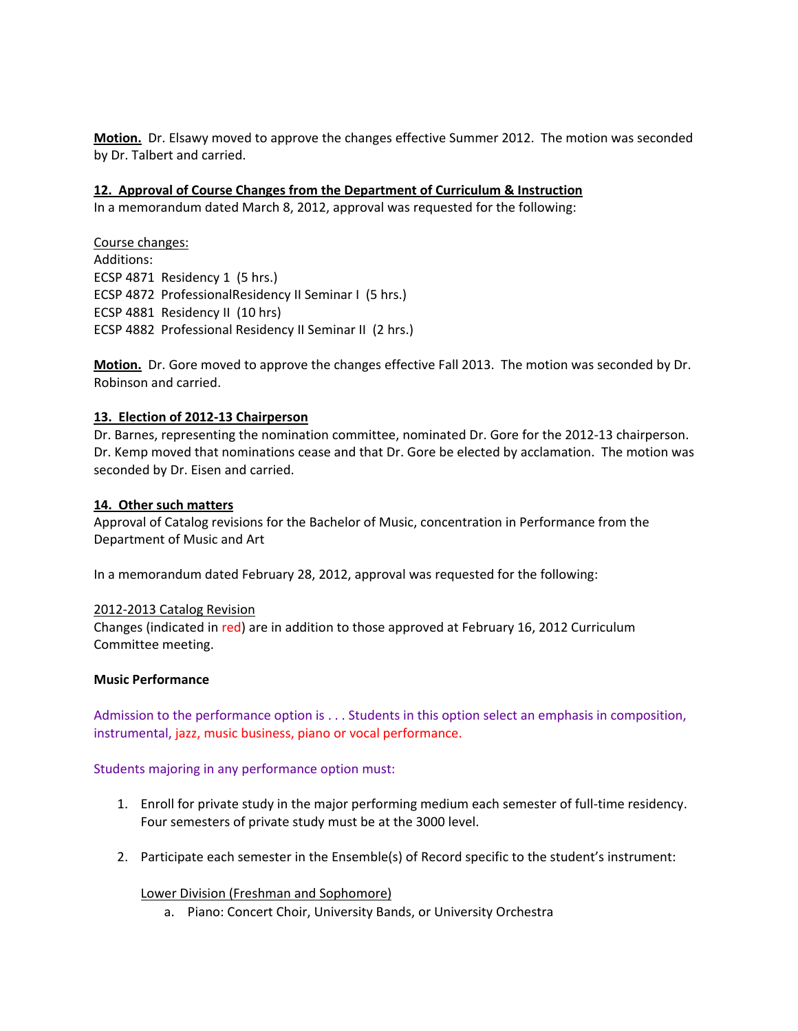**Motion.** Dr. Elsawy moved to approve the changes effective Summer 2012. The motion was seconded by Dr. Talbert and carried.

### **12. Approval of Course Changes from the Department of Curriculum & Instruction**

In a memorandum dated March 8, 2012, approval was requested for the following:

Course changes: Additions: ECSP 4871 Residency 1 (5 hrs.) ECSP 4872 ProfessionalResidency II Seminar I (5 hrs.) ECSP 4881 Residency II (10 hrs) ECSP 4882 Professional Residency II Seminar II (2 hrs.)

**Motion.** Dr. Gore moved to approve the changes effective Fall 2013. The motion was seconded by Dr. Robinson and carried.

### **13. Election of 2012‐13 Chairperson**

Dr. Barnes, representing the nomination committee, nominated Dr. Gore for the 2012‐13 chairperson. Dr. Kemp moved that nominations cease and that Dr. Gore be elected by acclamation. The motion was seconded by Dr. Eisen and carried.

### **14. Other such matters**

Approval of Catalog revisions for the Bachelor of Music, concentration in Performance from the Department of Music and Art

In a memorandum dated February 28, 2012, approval was requested for the following:

### 2012‐2013 Catalog Revision

Changes (indicated in red) are in addition to those approved at February 16, 2012 Curriculum Committee meeting.

### **Music Performance**

Admission to the performance option is . . . Students in this option select an emphasis in composition, instrumental, jazz, music business, piano or vocal performance.

Students majoring in any performance option must:

- 1. Enroll for private study in the major performing medium each semester of full‐time residency. Four semesters of private study must be at the 3000 level.
- 2. Participate each semester in the Ensemble(s) of Record specific to the student's instrument:

### Lower Division (Freshman and Sophomore)

a. Piano: Concert Choir, University Bands, or University Orchestra